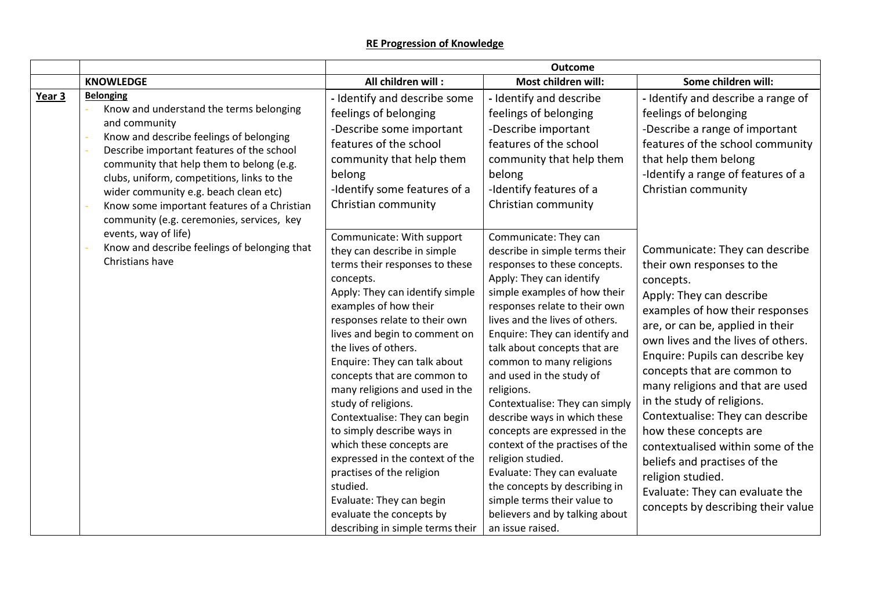|        |                                                                                                                                                                                                                                                                                                                                                                                                     |                                                                                                                                                                                                                                                                                                                                                                                                                                                                                                                                                                                                                                                          | <b>Outcome</b>                                                                                                                                                                                                                                                                                                                                                                                                                                                                                                                                                                                                                                                                 |                                                                                                                                                                                                                                                                                                                                                                                                                                                                                                                                                                                          |
|--------|-----------------------------------------------------------------------------------------------------------------------------------------------------------------------------------------------------------------------------------------------------------------------------------------------------------------------------------------------------------------------------------------------------|----------------------------------------------------------------------------------------------------------------------------------------------------------------------------------------------------------------------------------------------------------------------------------------------------------------------------------------------------------------------------------------------------------------------------------------------------------------------------------------------------------------------------------------------------------------------------------------------------------------------------------------------------------|--------------------------------------------------------------------------------------------------------------------------------------------------------------------------------------------------------------------------------------------------------------------------------------------------------------------------------------------------------------------------------------------------------------------------------------------------------------------------------------------------------------------------------------------------------------------------------------------------------------------------------------------------------------------------------|------------------------------------------------------------------------------------------------------------------------------------------------------------------------------------------------------------------------------------------------------------------------------------------------------------------------------------------------------------------------------------------------------------------------------------------------------------------------------------------------------------------------------------------------------------------------------------------|
|        | <b>KNOWLEDGE</b>                                                                                                                                                                                                                                                                                                                                                                                    | All children will:                                                                                                                                                                                                                                                                                                                                                                                                                                                                                                                                                                                                                                       | Most children will:                                                                                                                                                                                                                                                                                                                                                                                                                                                                                                                                                                                                                                                            | Some children will:                                                                                                                                                                                                                                                                                                                                                                                                                                                                                                                                                                      |
| Year 3 | <b>Belonging</b><br>Know and understand the terms belonging<br>and community<br>Know and describe feelings of belonging<br>Describe important features of the school<br>community that help them to belong (e.g.<br>clubs, uniform, competitions, links to the<br>wider community e.g. beach clean etc)<br>Know some important features of a Christian<br>community (e.g. ceremonies, services, key | - Identify and describe some<br>feelings of belonging<br>-Describe some important<br>features of the school<br>community that help them<br>belong<br>-Identify some features of a<br>Christian community                                                                                                                                                                                                                                                                                                                                                                                                                                                 | - Identify and describe<br>feelings of belonging<br>-Describe important<br>features of the school<br>community that help them<br>belong<br>-Identify features of a<br>Christian community                                                                                                                                                                                                                                                                                                                                                                                                                                                                                      | - Identify and describe a range of<br>feelings of belonging<br>-Describe a range of important<br>features of the school community<br>that help them belong<br>-Identify a range of features of a<br>Christian community                                                                                                                                                                                                                                                                                                                                                                  |
|        | events, way of life)<br>Know and describe feelings of belonging that<br>Christians have                                                                                                                                                                                                                                                                                                             | Communicate: With support<br>they can describe in simple<br>terms their responses to these<br>concepts.<br>Apply: They can identify simple<br>examples of how their<br>responses relate to their own<br>lives and begin to comment on<br>the lives of others.<br>Enquire: They can talk about<br>concepts that are common to<br>many religions and used in the<br>study of religions.<br>Contextualise: They can begin<br>to simply describe ways in<br>which these concepts are<br>expressed in the context of the<br>practises of the religion<br>studied.<br>Evaluate: They can begin<br>evaluate the concepts by<br>describing in simple terms their | Communicate: They can<br>describe in simple terms their<br>responses to these concepts.<br>Apply: They can identify<br>simple examples of how their<br>responses relate to their own<br>lives and the lives of others.<br>Enquire: They can identify and<br>talk about concepts that are<br>common to many religions<br>and used in the study of<br>religions.<br>Contextualise: They can simply<br>describe ways in which these<br>concepts are expressed in the<br>context of the practises of the<br>religion studied.<br>Evaluate: They can evaluate<br>the concepts by describing in<br>simple terms their value to<br>believers and by talking about<br>an issue raised. | Communicate: They can describe<br>their own responses to the<br>concepts.<br>Apply: They can describe<br>examples of how their responses<br>are, or can be, applied in their<br>own lives and the lives of others.<br>Enquire: Pupils can describe key<br>concepts that are common to<br>many religions and that are used<br>in the study of religions.<br>Contextualise: They can describe<br>how these concepts are<br>contextualised within some of the<br>beliefs and practises of the<br>religion studied.<br>Evaluate: They can evaluate the<br>concepts by describing their value |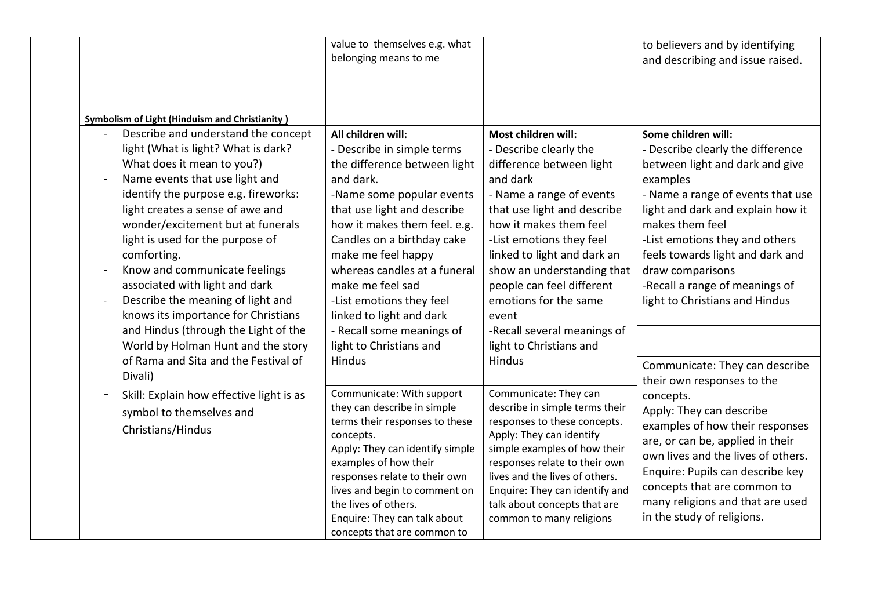|                                                                                                                                                                                                                                                                                                                                                                                                                                                                                                                                                                                                                                                         | value to themselves e.g. what<br>belonging means to me                                                                                                                                                                                                                                                                                                                                                                             |                                                                                                                                                                                                                                                                                                                                                                                                               | to believers and by identifying<br>and describing and issue raised.                                                                                                                                                                                                                                                                                                                                                                |
|---------------------------------------------------------------------------------------------------------------------------------------------------------------------------------------------------------------------------------------------------------------------------------------------------------------------------------------------------------------------------------------------------------------------------------------------------------------------------------------------------------------------------------------------------------------------------------------------------------------------------------------------------------|------------------------------------------------------------------------------------------------------------------------------------------------------------------------------------------------------------------------------------------------------------------------------------------------------------------------------------------------------------------------------------------------------------------------------------|---------------------------------------------------------------------------------------------------------------------------------------------------------------------------------------------------------------------------------------------------------------------------------------------------------------------------------------------------------------------------------------------------------------|------------------------------------------------------------------------------------------------------------------------------------------------------------------------------------------------------------------------------------------------------------------------------------------------------------------------------------------------------------------------------------------------------------------------------------|
| <b>Symbolism of Light (Hinduism and Christianity)</b><br>Describe and understand the concept<br>light (What is light? What is dark?<br>What does it mean to you?)<br>Name events that use light and<br>identify the purpose e.g. fireworks:<br>light creates a sense of awe and<br>wonder/excitement but at funerals<br>light is used for the purpose of<br>comforting.<br>Know and communicate feelings<br>associated with light and dark<br>Describe the meaning of light and<br>knows its importance for Christians<br>and Hindus (through the Light of the<br>World by Holman Hunt and the story<br>of Rama and Sita and the Festival of<br>Divali) | All children will:<br>- Describe in simple terms<br>the difference between light<br>and dark.<br>-Name some popular events<br>that use light and describe<br>how it makes them feel. e.g.<br>Candles on a birthday cake<br>make me feel happy<br>whereas candles at a funeral<br>make me feel sad<br>-List emotions they feel<br>linked to light and dark<br>- Recall some meanings of<br>light to Christians and<br><b>Hindus</b> | Most children will:<br>- Describe clearly the<br>difference between light<br>and dark<br>- Name a range of events<br>that use light and describe<br>how it makes them feel<br>-List emotions they feel<br>linked to light and dark an<br>show an understanding that<br>people can feel different<br>emotions for the same<br>event<br>-Recall several meanings of<br>light to Christians and<br><b>Hindus</b> | Some children will:<br>- Describe clearly the difference<br>between light and dark and give<br>examples<br>- Name a range of events that use<br>light and dark and explain how it<br>makes them feel<br>-List emotions they and others<br>feels towards light and dark and<br>draw comparisons<br>-Recall a range of meanings of<br>light to Christians and Hindus<br>Communicate: They can describe<br>their own responses to the |
| Skill: Explain how effective light is as<br>symbol to themselves and<br>Christians/Hindus                                                                                                                                                                                                                                                                                                                                                                                                                                                                                                                                                               | Communicate: With support<br>they can describe in simple<br>terms their responses to these<br>concepts.<br>Apply: They can identify simple<br>examples of how their<br>responses relate to their own<br>lives and begin to comment on<br>the lives of others.<br>Enquire: They can talk about<br>concepts that are common to                                                                                                       | Communicate: They can<br>describe in simple terms their<br>responses to these concepts.<br>Apply: They can identify<br>simple examples of how their<br>responses relate to their own<br>lives and the lives of others.<br>Enquire: They can identify and<br>talk about concepts that are<br>common to many religions                                                                                          | concepts.<br>Apply: They can describe<br>examples of how their responses<br>are, or can be, applied in their<br>own lives and the lives of others.<br>Enquire: Pupils can describe key<br>concepts that are common to<br>many religions and that are used<br>in the study of religions.                                                                                                                                            |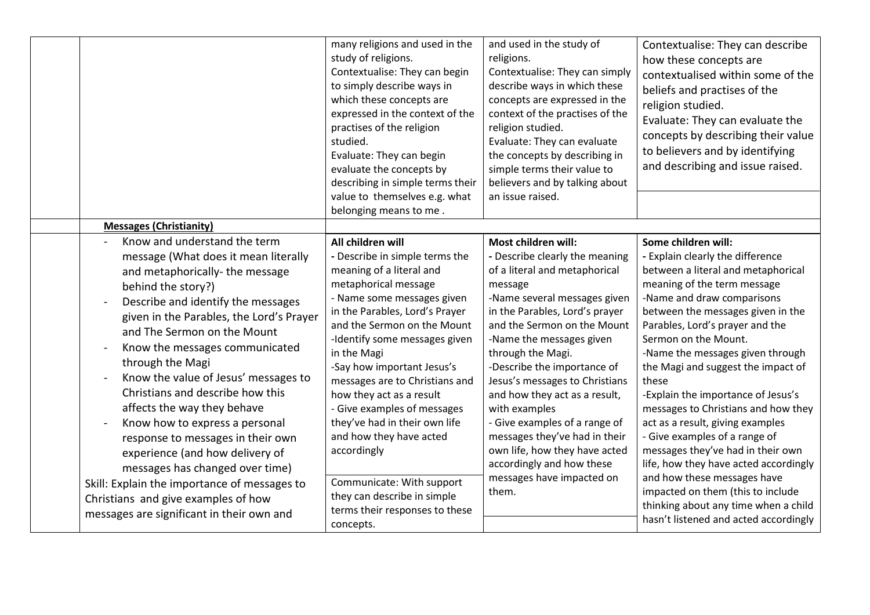|                                                                                                                                                                                                                                                                                                                                                                                                                                                                                                                                                                                                             | many religions and used in the<br>study of religions.<br>Contextualise: They can begin<br>to simply describe ways in<br>which these concepts are<br>expressed in the context of the<br>practises of the religion<br>studied.<br>Evaluate: They can begin<br>evaluate the concepts by<br>describing in simple terms their<br>value to themselves e.g. what<br>belonging means to me.                                                                                                       | and used in the study of<br>religions.<br>Contextualise: They can simply<br>describe ways in which these<br>concepts are expressed in the<br>context of the practises of the<br>religion studied.<br>Evaluate: They can evaluate<br>the concepts by describing in<br>simple terms their value to<br>believers and by talking about<br>an issue raised.                                                                                                                                                                              | Contextualise: They can describe<br>how these concepts are<br>contextualised within some of the<br>beliefs and practises of the<br>religion studied.<br>Evaluate: They can evaluate the<br>concepts by describing their value<br>to believers and by identifying<br>and describing and issue raised.                                                                                                                                                                                                                                                                                                         |
|-------------------------------------------------------------------------------------------------------------------------------------------------------------------------------------------------------------------------------------------------------------------------------------------------------------------------------------------------------------------------------------------------------------------------------------------------------------------------------------------------------------------------------------------------------------------------------------------------------------|-------------------------------------------------------------------------------------------------------------------------------------------------------------------------------------------------------------------------------------------------------------------------------------------------------------------------------------------------------------------------------------------------------------------------------------------------------------------------------------------|-------------------------------------------------------------------------------------------------------------------------------------------------------------------------------------------------------------------------------------------------------------------------------------------------------------------------------------------------------------------------------------------------------------------------------------------------------------------------------------------------------------------------------------|--------------------------------------------------------------------------------------------------------------------------------------------------------------------------------------------------------------------------------------------------------------------------------------------------------------------------------------------------------------------------------------------------------------------------------------------------------------------------------------------------------------------------------------------------------------------------------------------------------------|
| <b>Messages (Christianity)</b>                                                                                                                                                                                                                                                                                                                                                                                                                                                                                                                                                                              |                                                                                                                                                                                                                                                                                                                                                                                                                                                                                           |                                                                                                                                                                                                                                                                                                                                                                                                                                                                                                                                     |                                                                                                                                                                                                                                                                                                                                                                                                                                                                                                                                                                                                              |
| Know and understand the term<br>message (What does it mean literally<br>and metaphorically-the message<br>behind the story?)<br>Describe and identify the messages<br>given in the Parables, the Lord's Prayer<br>and The Sermon on the Mount<br>Know the messages communicated<br>through the Magi<br>Know the value of Jesus' messages to<br>Christians and describe how this<br>affects the way they behave<br>Know how to express a personal<br>response to messages in their own<br>experience (and how delivery of<br>messages has changed over time)<br>Skill: Explain the importance of messages to | All children will<br>- Describe in simple terms the<br>meaning of a literal and<br>metaphorical message<br>- Name some messages given<br>in the Parables, Lord's Prayer<br>and the Sermon on the Mount<br>-Identify some messages given<br>in the Magi<br>-Say how important Jesus's<br>messages are to Christians and<br>how they act as a result<br>- Give examples of messages<br>they've had in their own life<br>and how they have acted<br>accordingly<br>Communicate: With support | Most children will:<br>- Describe clearly the meaning<br>of a literal and metaphorical<br>message<br>-Name several messages given<br>in the Parables, Lord's prayer<br>and the Sermon on the Mount<br>-Name the messages given<br>through the Magi.<br>-Describe the importance of<br>Jesus's messages to Christians<br>and how they act as a result,<br>with examples<br>- Give examples of a range of<br>messages they've had in their<br>own life, how they have acted<br>accordingly and how these<br>messages have impacted on | Some children will:<br>- Explain clearly the difference<br>between a literal and metaphorical<br>meaning of the term message<br>-Name and draw comparisons<br>between the messages given in the<br>Parables, Lord's prayer and the<br>Sermon on the Mount.<br>-Name the messages given through<br>the Magi and suggest the impact of<br>these<br>-Explain the importance of Jesus's<br>messages to Christians and how they<br>act as a result, giving examples<br>- Give examples of a range of<br>messages they've had in their own<br>life, how they have acted accordingly<br>and how these messages have |
| Christians and give examples of how<br>messages are significant in their own and                                                                                                                                                                                                                                                                                                                                                                                                                                                                                                                            | they can describe in simple<br>terms their responses to these<br>concepts.                                                                                                                                                                                                                                                                                                                                                                                                                | them.                                                                                                                                                                                                                                                                                                                                                                                                                                                                                                                               | impacted on them (this to include<br>thinking about any time when a child<br>hasn't listened and acted accordingly                                                                                                                                                                                                                                                                                                                                                                                                                                                                                           |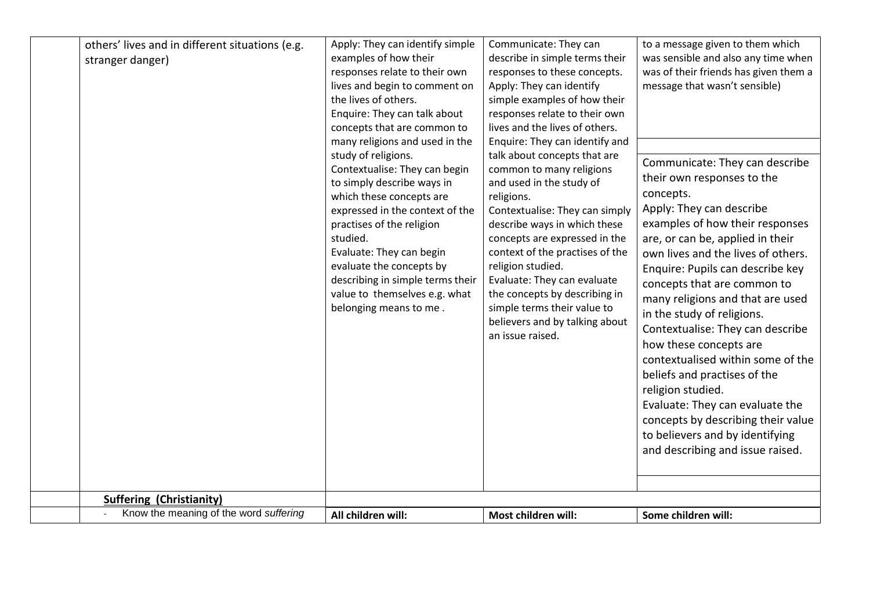| others' lives and in different situations (e.g. | Apply: They can identify simple                                   | Communicate: They can                                        | to a message given to them which      |
|-------------------------------------------------|-------------------------------------------------------------------|--------------------------------------------------------------|---------------------------------------|
| stranger danger)                                | examples of how their                                             | describe in simple terms their                               | was sensible and also any time when   |
|                                                 | responses relate to their own                                     | responses to these concepts.                                 | was of their friends has given them a |
|                                                 | lives and begin to comment on                                     | Apply: They can identify                                     | message that wasn't sensible)         |
|                                                 | the lives of others.                                              | simple examples of how their                                 |                                       |
|                                                 | Enquire: They can talk about                                      | responses relate to their own                                |                                       |
|                                                 | concepts that are common to                                       | lives and the lives of others.                               |                                       |
|                                                 | many religions and used in the                                    | Enquire: They can identify and                               |                                       |
|                                                 | study of religions.                                               | talk about concepts that are                                 | Communicate: They can describe        |
|                                                 | Contextualise: They can begin                                     | common to many religions                                     | their own responses to the            |
|                                                 | to simply describe ways in                                        | and used in the study of                                     |                                       |
|                                                 | which these concepts are                                          | religions.                                                   | concepts.                             |
|                                                 | expressed in the context of the                                   | Contextualise: They can simply                               | Apply: They can describe              |
|                                                 | practises of the religion                                         | describe ways in which these                                 | examples of how their responses       |
|                                                 | studied.                                                          | concepts are expressed in the                                | are, or can be, applied in their      |
|                                                 | Evaluate: They can begin                                          | context of the practises of the                              | own lives and the lives of others.    |
|                                                 | evaluate the concepts by                                          | religion studied.                                            | Enquire: Pupils can describe key      |
|                                                 | describing in simple terms their<br>value to themselves e.g. what | Evaluate: They can evaluate<br>the concepts by describing in | concepts that are common to           |
|                                                 | belonging means to me.                                            | simple terms their value to                                  | many religions and that are used      |
|                                                 |                                                                   | believers and by talking about                               | in the study of religions.            |
|                                                 |                                                                   | an issue raised.                                             | Contextualise: They can describe      |
|                                                 |                                                                   |                                                              | how these concepts are                |
|                                                 |                                                                   |                                                              | contextualised within some of the     |
|                                                 |                                                                   |                                                              | beliefs and practises of the          |
|                                                 |                                                                   |                                                              | religion studied.                     |
|                                                 |                                                                   |                                                              | Evaluate: They can evaluate the       |
|                                                 |                                                                   |                                                              | concepts by describing their value    |
|                                                 |                                                                   |                                                              | to believers and by identifying       |
|                                                 |                                                                   |                                                              | and describing and issue raised.      |
|                                                 |                                                                   |                                                              |                                       |
|                                                 |                                                                   |                                                              |                                       |
| <b>Suffering (Christianity)</b>                 |                                                                   |                                                              |                                       |
| Know the meaning of the word suffering          | All children will:                                                | Most children will:                                          |                                       |
|                                                 |                                                                   |                                                              | Some children will:                   |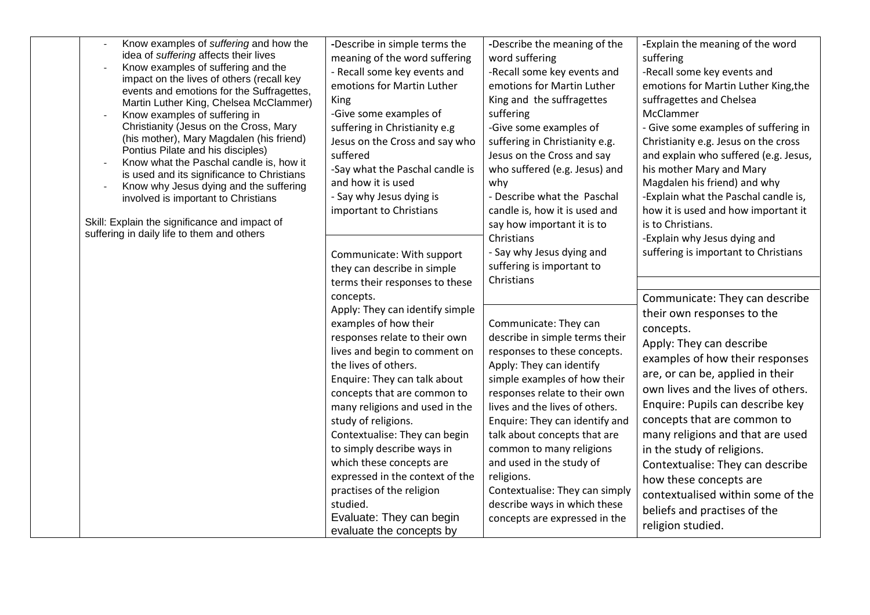| Know examples of suffering and how the<br>idea of suffering affects their lives<br>Know examples of suffering and the<br>impact on the lives of others (recall key<br>events and emotions for the Suffragettes,<br>Martin Luther King, Chelsea McClammer)<br>Know examples of suffering in<br>Christianity (Jesus on the Cross, Mary<br>(his mother), Mary Magdalen (his friend)<br>Pontius Pilate and his disciples)<br>Know what the Paschal candle is, how it<br>is used and its significance to Christians<br>Know why Jesus dying and the suffering<br>$\overline{\phantom{a}}$<br>involved is important to Christians<br>Skill: Explain the significance and impact of<br>suffering in daily life to them and others | -Describe in simple terms the<br>meaning of the word suffering<br>- Recall some key events and<br>emotions for Martin Luther<br>King<br>-Give some examples of<br>suffering in Christianity e.g<br>Jesus on the Cross and say who<br>suffered<br>-Say what the Paschal candle is<br>and how it is used<br>- Say why Jesus dying is<br>important to Christians                                                                                                                                                          | -Describe the meaning of the<br>word suffering<br>-Recall some key events and<br>emotions for Martin Luther<br>King and the suffragettes<br>suffering<br>-Give some examples of<br>suffering in Christianity e.g.<br>Jesus on the Cross and say<br>who suffered (e.g. Jesus) and<br>why<br>- Describe what the Paschal<br>candle is, how it is used and<br>say how important it is to<br>Christians                                                               | -Explain the meaning of the word<br>suffering<br>-Recall some key events and<br>emotions for Martin Luther King, the<br>suffragettes and Chelsea<br>McClammer<br>- Give some examples of suffering in<br>Christianity e.g. Jesus on the cross<br>and explain who suffered (e.g. Jesus,<br>his mother Mary and Mary<br>Magdalen his friend) and why<br>-Explain what the Paschal candle is,<br>how it is used and how important it<br>is to Christians.<br>-Explain why Jesus dying and                          |
|----------------------------------------------------------------------------------------------------------------------------------------------------------------------------------------------------------------------------------------------------------------------------------------------------------------------------------------------------------------------------------------------------------------------------------------------------------------------------------------------------------------------------------------------------------------------------------------------------------------------------------------------------------------------------------------------------------------------------|------------------------------------------------------------------------------------------------------------------------------------------------------------------------------------------------------------------------------------------------------------------------------------------------------------------------------------------------------------------------------------------------------------------------------------------------------------------------------------------------------------------------|-------------------------------------------------------------------------------------------------------------------------------------------------------------------------------------------------------------------------------------------------------------------------------------------------------------------------------------------------------------------------------------------------------------------------------------------------------------------|-----------------------------------------------------------------------------------------------------------------------------------------------------------------------------------------------------------------------------------------------------------------------------------------------------------------------------------------------------------------------------------------------------------------------------------------------------------------------------------------------------------------|
|                                                                                                                                                                                                                                                                                                                                                                                                                                                                                                                                                                                                                                                                                                                            | Communicate: With support<br>they can describe in simple<br>terms their responses to these                                                                                                                                                                                                                                                                                                                                                                                                                             | - Say why Jesus dying and<br>suffering is important to<br>Christians                                                                                                                                                                                                                                                                                                                                                                                              | suffering is important to Christians                                                                                                                                                                                                                                                                                                                                                                                                                                                                            |
|                                                                                                                                                                                                                                                                                                                                                                                                                                                                                                                                                                                                                                                                                                                            | concepts.<br>Apply: They can identify simple<br>examples of how their<br>responses relate to their own<br>lives and begin to comment on<br>the lives of others.<br>Enquire: They can talk about<br>concepts that are common to<br>many religions and used in the<br>study of religions.<br>Contextualise: They can begin<br>to simply describe ways in<br>which these concepts are<br>expressed in the context of the<br>practises of the religion<br>studied.<br>Evaluate: They can begin<br>evaluate the concepts by | Communicate: They can<br>describe in simple terms their<br>responses to these concepts.<br>Apply: They can identify<br>simple examples of how their<br>responses relate to their own<br>lives and the lives of others.<br>Enquire: They can identify and<br>talk about concepts that are<br>common to many religions<br>and used in the study of<br>religions.<br>Contextualise: They can simply<br>describe ways in which these<br>concepts are expressed in the | Communicate: They can describe<br>their own responses to the<br>concepts.<br>Apply: They can describe<br>examples of how their responses<br>are, or can be, applied in their<br>own lives and the lives of others.<br>Enquire: Pupils can describe key<br>concepts that are common to<br>many religions and that are used<br>in the study of religions.<br>Contextualise: They can describe<br>how these concepts are<br>contextualised within some of the<br>beliefs and practises of the<br>religion studied. |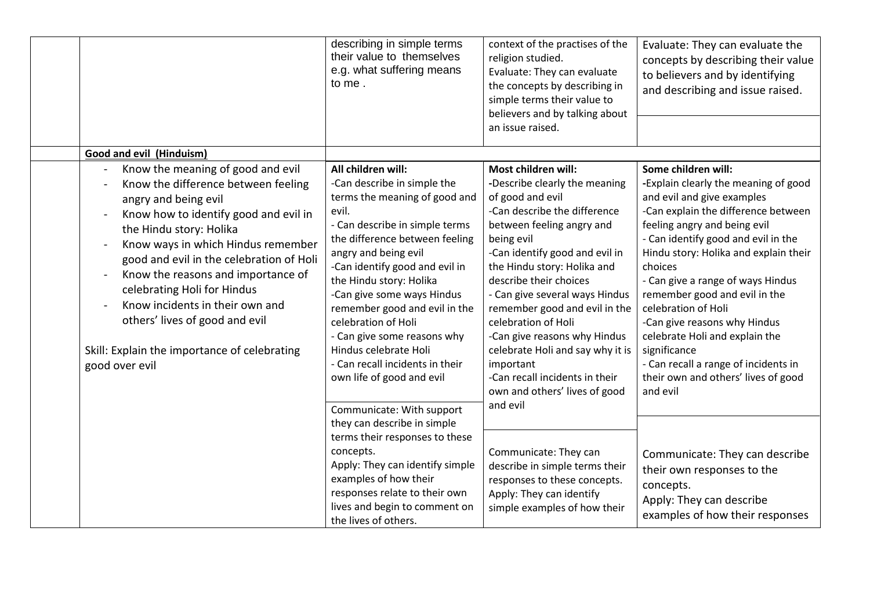|                                                                                                                                                                                                                                                                                                                                                                                                                                                                    | describing in simple terms<br>their value to themselves<br>e.g. what suffering means<br>to me.                                                                                                                                                                                                                                                                                                                                                                     | context of the practises of the<br>religion studied.<br>Evaluate: They can evaluate<br>the concepts by describing in<br>simple terms their value to<br>believers and by talking about<br>an issue raised.                                                                                                                                                                                                                                                                                    | Evaluate: They can evaluate the<br>concepts by describing their value<br>to believers and by identifying<br>and describing and issue raised.                                                                                                                                                                                                                                                                                                                                                                                          |
|--------------------------------------------------------------------------------------------------------------------------------------------------------------------------------------------------------------------------------------------------------------------------------------------------------------------------------------------------------------------------------------------------------------------------------------------------------------------|--------------------------------------------------------------------------------------------------------------------------------------------------------------------------------------------------------------------------------------------------------------------------------------------------------------------------------------------------------------------------------------------------------------------------------------------------------------------|----------------------------------------------------------------------------------------------------------------------------------------------------------------------------------------------------------------------------------------------------------------------------------------------------------------------------------------------------------------------------------------------------------------------------------------------------------------------------------------------|---------------------------------------------------------------------------------------------------------------------------------------------------------------------------------------------------------------------------------------------------------------------------------------------------------------------------------------------------------------------------------------------------------------------------------------------------------------------------------------------------------------------------------------|
| Good and evil (Hinduism)                                                                                                                                                                                                                                                                                                                                                                                                                                           |                                                                                                                                                                                                                                                                                                                                                                                                                                                                    |                                                                                                                                                                                                                                                                                                                                                                                                                                                                                              |                                                                                                                                                                                                                                                                                                                                                                                                                                                                                                                                       |
| Know the meaning of good and evil<br>Know the difference between feeling<br>angry and being evil<br>Know how to identify good and evil in<br>the Hindu story: Holika<br>Know ways in which Hindus remember<br>good and evil in the celebration of Holi<br>Know the reasons and importance of<br>celebrating Holi for Hindus<br>Know incidents in their own and<br>others' lives of good and evil<br>Skill: Explain the importance of celebrating<br>good over evil | All children will:<br>-Can describe in simple the<br>terms the meaning of good and<br>evil.<br>- Can describe in simple terms<br>the difference between feeling<br>angry and being evil<br>-Can identify good and evil in<br>the Hindu story: Holika<br>-Can give some ways Hindus<br>remember good and evil in the<br>celebration of Holi<br>- Can give some reasons why<br>Hindus celebrate Holi<br>- Can recall incidents in their<br>own life of good and evil | Most children will:<br>-Describe clearly the meaning<br>of good and evil<br>-Can describe the difference<br>between feeling angry and<br>being evil<br>-Can identify good and evil in<br>the Hindu story: Holika and<br>describe their choices<br>- Can give several ways Hindus<br>remember good and evil in the<br>celebration of Holi<br>-Can give reasons why Hindus<br>celebrate Holi and say why it is<br>important<br>-Can recall incidents in their<br>own and others' lives of good | Some children will:<br>-Explain clearly the meaning of good<br>and evil and give examples<br>-Can explain the difference between<br>feeling angry and being evil<br>- Can identify good and evil in the<br>Hindu story: Holika and explain their<br>choices<br>- Can give a range of ways Hindus<br>remember good and evil in the<br>celebration of Holi<br>-Can give reasons why Hindus<br>celebrate Holi and explain the<br>significance<br>- Can recall a range of incidents in<br>their own and others' lives of good<br>and evil |
|                                                                                                                                                                                                                                                                                                                                                                                                                                                                    | Communicate: With support<br>they can describe in simple<br>terms their responses to these<br>concepts.<br>Apply: They can identify simple<br>examples of how their<br>responses relate to their own<br>lives and begin to comment on<br>the lives of others.                                                                                                                                                                                                      | and evil<br>Communicate: They can<br>describe in simple terms their<br>responses to these concepts.<br>Apply: They can identify<br>simple examples of how their                                                                                                                                                                                                                                                                                                                              | Communicate: They can describe<br>their own responses to the<br>concepts.<br>Apply: They can describe<br>examples of how their responses                                                                                                                                                                                                                                                                                                                                                                                              |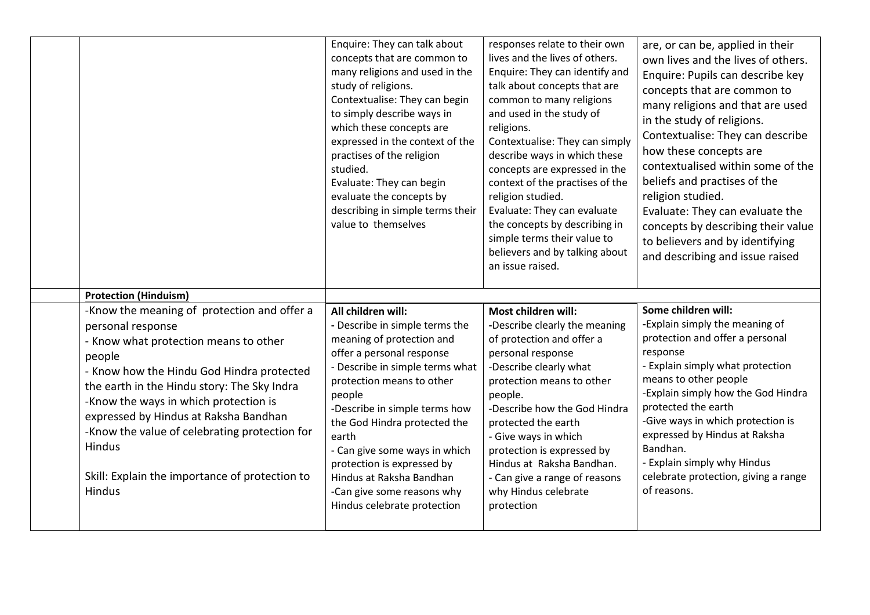|                                                                                                                                                                                                                                                                                                                                                                                                                          | Enquire: They can talk about<br>concepts that are common to<br>many religions and used in the<br>study of religions.<br>Contextualise: They can begin<br>to simply describe ways in<br>which these concepts are<br>expressed in the context of the<br>practises of the religion<br>studied.<br>Evaluate: They can begin<br>evaluate the concepts by<br>describing in simple terms their<br>value to themselves             | responses relate to their own<br>lives and the lives of others.<br>Enquire: They can identify and<br>talk about concepts that are<br>common to many religions<br>and used in the study of<br>religions.<br>Contextualise: They can simply<br>describe ways in which these<br>concepts are expressed in the<br>context of the practises of the<br>religion studied.<br>Evaluate: They can evaluate<br>the concepts by describing in<br>simple terms their value to<br>believers and by talking about<br>an issue raised. | are, or can be, applied in their<br>own lives and the lives of others.<br>Enquire: Pupils can describe key<br>concepts that are common to<br>many religions and that are used<br>in the study of religions.<br>Contextualise: They can describe<br>how these concepts are<br>contextualised within some of the<br>beliefs and practises of the<br>religion studied.<br>Evaluate: They can evaluate the<br>concepts by describing their value<br>to believers and by identifying<br>and describing and issue raised |
|--------------------------------------------------------------------------------------------------------------------------------------------------------------------------------------------------------------------------------------------------------------------------------------------------------------------------------------------------------------------------------------------------------------------------|----------------------------------------------------------------------------------------------------------------------------------------------------------------------------------------------------------------------------------------------------------------------------------------------------------------------------------------------------------------------------------------------------------------------------|-------------------------------------------------------------------------------------------------------------------------------------------------------------------------------------------------------------------------------------------------------------------------------------------------------------------------------------------------------------------------------------------------------------------------------------------------------------------------------------------------------------------------|--------------------------------------------------------------------------------------------------------------------------------------------------------------------------------------------------------------------------------------------------------------------------------------------------------------------------------------------------------------------------------------------------------------------------------------------------------------------------------------------------------------------|
| <b>Protection (Hinduism)</b>                                                                                                                                                                                                                                                                                                                                                                                             |                                                                                                                                                                                                                                                                                                                                                                                                                            |                                                                                                                                                                                                                                                                                                                                                                                                                                                                                                                         |                                                                                                                                                                                                                                                                                                                                                                                                                                                                                                                    |
| -Know the meaning of protection and offer a<br>personal response<br>- Know what protection means to other<br>people<br>- Know how the Hindu God Hindra protected<br>the earth in the Hindu story: The Sky Indra<br>-Know the ways in which protection is<br>expressed by Hindus at Raksha Bandhan<br>-Know the value of celebrating protection for<br>Hindus<br>Skill: Explain the importance of protection to<br>Hindus | All children will:<br>- Describe in simple terms the<br>meaning of protection and<br>offer a personal response<br>- Describe in simple terms what<br>protection means to other<br>people<br>-Describe in simple terms how<br>the God Hindra protected the<br>earth<br>- Can give some ways in which<br>protection is expressed by<br>Hindus at Raksha Bandhan<br>-Can give some reasons why<br>Hindus celebrate protection | Most children will:<br>-Describe clearly the meaning<br>of protection and offer a<br>personal response<br>-Describe clearly what<br>protection means to other<br>people.<br>-Describe how the God Hindra<br>protected the earth<br>- Give ways in which<br>protection is expressed by<br>Hindus at Raksha Bandhan.<br>- Can give a range of reasons<br>why Hindus celebrate<br>protection                                                                                                                               | Some children will:<br>-Explain simply the meaning of<br>protection and offer a personal<br>response<br>- Explain simply what protection<br>means to other people<br>-Explain simply how the God Hindra<br>protected the earth<br>-Give ways in which protection is<br>expressed by Hindus at Raksha<br>Bandhan.<br>- Explain simply why Hindus<br>celebrate protection, giving a range<br>of reasons.                                                                                                             |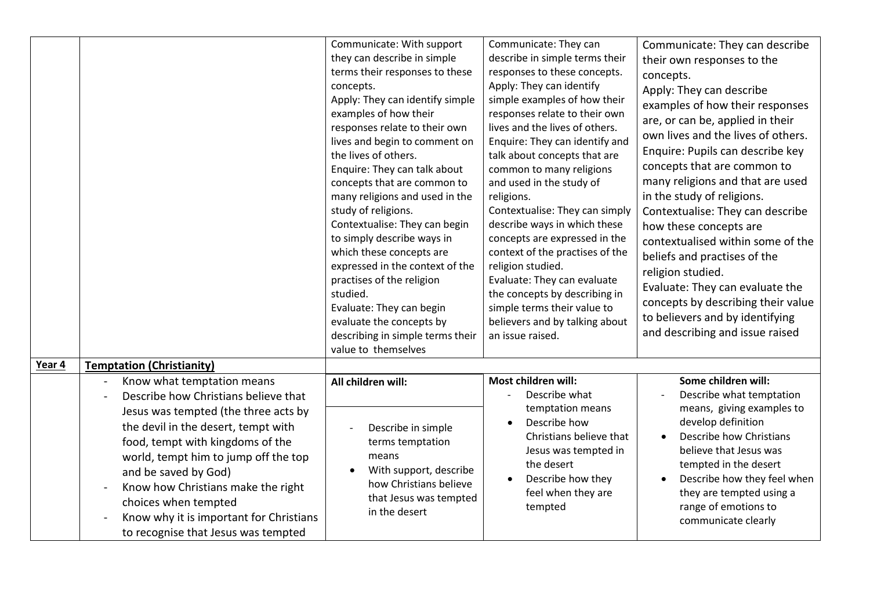|        |                                                                                                                                                                                                                                                                                                                                                                                                       | Communicate: With support<br>they can describe in simple<br>terms their responses to these<br>concepts.<br>Apply: They can identify simple<br>examples of how their<br>responses relate to their own<br>lives and begin to comment on<br>the lives of others.<br>Enquire: They can talk about<br>concepts that are common to<br>many religions and used in the<br>study of religions.<br>Contextualise: They can begin<br>to simply describe ways in<br>which these concepts are<br>expressed in the context of the<br>practises of the religion<br>studied.<br>Evaluate: They can begin<br>evaluate the concepts by<br>describing in simple terms their<br>value to themselves | Communicate: They can<br>describe in simple terms their<br>responses to these concepts.<br>Apply: They can identify<br>simple examples of how their<br>responses relate to their own<br>lives and the lives of others.<br>Enquire: They can identify and<br>talk about concepts that are<br>common to many religions<br>and used in the study of<br>religions.<br>Contextualise: They can simply<br>describe ways in which these<br>concepts are expressed in the<br>context of the practises of the<br>religion studied.<br>Evaluate: They can evaluate<br>the concepts by describing in<br>simple terms their value to<br>believers and by talking about<br>an issue raised. | Communicate: They can describe<br>their own responses to the<br>concepts.<br>Apply: They can describe<br>examples of how their responses<br>are, or can be, applied in their<br>own lives and the lives of others.<br>Enquire: Pupils can describe key<br>concepts that are common to<br>many religions and that are used<br>in the study of religions.<br>Contextualise: They can describe<br>how these concepts are<br>contextualised within some of the<br>beliefs and practises of the<br>religion studied.<br>Evaluate: They can evaluate the<br>concepts by describing their value<br>to believers and by identifying<br>and describing and issue raised |
|--------|-------------------------------------------------------------------------------------------------------------------------------------------------------------------------------------------------------------------------------------------------------------------------------------------------------------------------------------------------------------------------------------------------------|---------------------------------------------------------------------------------------------------------------------------------------------------------------------------------------------------------------------------------------------------------------------------------------------------------------------------------------------------------------------------------------------------------------------------------------------------------------------------------------------------------------------------------------------------------------------------------------------------------------------------------------------------------------------------------|--------------------------------------------------------------------------------------------------------------------------------------------------------------------------------------------------------------------------------------------------------------------------------------------------------------------------------------------------------------------------------------------------------------------------------------------------------------------------------------------------------------------------------------------------------------------------------------------------------------------------------------------------------------------------------|----------------------------------------------------------------------------------------------------------------------------------------------------------------------------------------------------------------------------------------------------------------------------------------------------------------------------------------------------------------------------------------------------------------------------------------------------------------------------------------------------------------------------------------------------------------------------------------------------------------------------------------------------------------|
| Year 4 | <b>Temptation (Christianity)</b>                                                                                                                                                                                                                                                                                                                                                                      |                                                                                                                                                                                                                                                                                                                                                                                                                                                                                                                                                                                                                                                                                 |                                                                                                                                                                                                                                                                                                                                                                                                                                                                                                                                                                                                                                                                                |                                                                                                                                                                                                                                                                                                                                                                                                                                                                                                                                                                                                                                                                |
|        | Know what temptation means<br>Describe how Christians believe that<br>Jesus was tempted (the three acts by<br>the devil in the desert, tempt with<br>food, tempt with kingdoms of the<br>world, tempt him to jump off the top<br>and be saved by God)<br>Know how Christians make the right<br>choices when tempted<br>Know why it is important for Christians<br>to recognise that Jesus was tempted | All children will:<br>Describe in simple<br>terms temptation<br>means<br>With support, describe<br>$\bullet$<br>how Christians believe<br>that Jesus was tempted<br>in the desert                                                                                                                                                                                                                                                                                                                                                                                                                                                                                               | Most children will:<br>Describe what<br>temptation means<br>Describe how<br>Christians believe that<br>Jesus was tempted in<br>the desert<br>Describe how they<br>feel when they are<br>tempted                                                                                                                                                                                                                                                                                                                                                                                                                                                                                | Some children will:<br>Describe what temptation<br>means, giving examples to<br>develop definition<br>Describe how Christians<br>believe that Jesus was<br>tempted in the desert<br>Describe how they feel when<br>they are tempted using a<br>range of emotions to<br>communicate clearly                                                                                                                                                                                                                                                                                                                                                                     |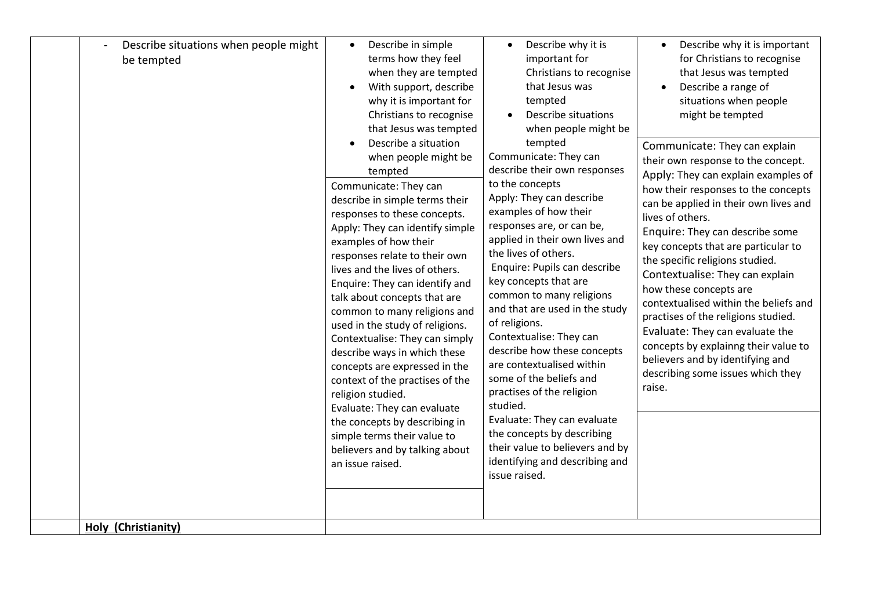|  | Describe situations when people might<br>be tempted<br>Holy (Christianity) | Describe in simple<br>$\bullet$<br>terms how they feel<br>when they are tempted<br>With support, describe<br>why it is important for<br>Christians to recognise<br>that Jesus was tempted<br>Describe a situation<br>when people might be<br>tempted<br>Communicate: They can<br>describe in simple terms their<br>responses to these concepts.<br>Apply: They can identify simple<br>examples of how their<br>responses relate to their own<br>lives and the lives of others.<br>Enquire: They can identify and<br>talk about concepts that are<br>common to many religions and<br>used in the study of religions.<br>Contextualise: They can simply<br>describe ways in which these<br>concepts are expressed in the<br>context of the practises of the<br>religion studied.<br>Evaluate: They can evaluate<br>the concepts by describing in<br>simple terms their value to<br>believers and by talking about<br>an issue raised. | Describe why it is<br>$\bullet$<br>important for<br>Christians to recognise<br>that Jesus was<br>tempted<br>Describe situations<br>when people might be<br>tempted<br>Communicate: They can<br>describe their own responses<br>to the concepts<br>Apply: They can describe<br>examples of how their<br>responses are, or can be,<br>applied in their own lives and<br>the lives of others.<br>Enquire: Pupils can describe<br>key concepts that are<br>common to many religions<br>and that are used in the study<br>of religions.<br>Contextualise: They can<br>describe how these concepts<br>are contextualised within<br>some of the beliefs and<br>practises of the religion<br>studied.<br>Evaluate: They can evaluate<br>the concepts by describing<br>their value to believers and by<br>identifying and describing and<br>issue raised. | Describe why it is important<br>for Christians to recognise<br>that Jesus was tempted<br>Describe a range of<br>$\bullet$<br>situations when people<br>might be tempted<br>Communicate: They can explain<br>their own response to the concept.<br>Apply: They can explain examples of<br>how their responses to the concepts<br>can be applied in their own lives and<br>lives of others.<br>Enquire: They can describe some<br>key concepts that are particular to<br>the specific religions studied.<br>Contextualise: They can explain<br>how these concepts are<br>contextualised within the beliefs and<br>practises of the religions studied.<br>Evaluate: They can evaluate the<br>concepts by explainng their value to<br>believers and by identifying and<br>describing some issues which they<br>raise. |
|--|----------------------------------------------------------------------------|-------------------------------------------------------------------------------------------------------------------------------------------------------------------------------------------------------------------------------------------------------------------------------------------------------------------------------------------------------------------------------------------------------------------------------------------------------------------------------------------------------------------------------------------------------------------------------------------------------------------------------------------------------------------------------------------------------------------------------------------------------------------------------------------------------------------------------------------------------------------------------------------------------------------------------------|--------------------------------------------------------------------------------------------------------------------------------------------------------------------------------------------------------------------------------------------------------------------------------------------------------------------------------------------------------------------------------------------------------------------------------------------------------------------------------------------------------------------------------------------------------------------------------------------------------------------------------------------------------------------------------------------------------------------------------------------------------------------------------------------------------------------------------------------------|-------------------------------------------------------------------------------------------------------------------------------------------------------------------------------------------------------------------------------------------------------------------------------------------------------------------------------------------------------------------------------------------------------------------------------------------------------------------------------------------------------------------------------------------------------------------------------------------------------------------------------------------------------------------------------------------------------------------------------------------------------------------------------------------------------------------|
|--|----------------------------------------------------------------------------|-------------------------------------------------------------------------------------------------------------------------------------------------------------------------------------------------------------------------------------------------------------------------------------------------------------------------------------------------------------------------------------------------------------------------------------------------------------------------------------------------------------------------------------------------------------------------------------------------------------------------------------------------------------------------------------------------------------------------------------------------------------------------------------------------------------------------------------------------------------------------------------------------------------------------------------|--------------------------------------------------------------------------------------------------------------------------------------------------------------------------------------------------------------------------------------------------------------------------------------------------------------------------------------------------------------------------------------------------------------------------------------------------------------------------------------------------------------------------------------------------------------------------------------------------------------------------------------------------------------------------------------------------------------------------------------------------------------------------------------------------------------------------------------------------|-------------------------------------------------------------------------------------------------------------------------------------------------------------------------------------------------------------------------------------------------------------------------------------------------------------------------------------------------------------------------------------------------------------------------------------------------------------------------------------------------------------------------------------------------------------------------------------------------------------------------------------------------------------------------------------------------------------------------------------------------------------------------------------------------------------------|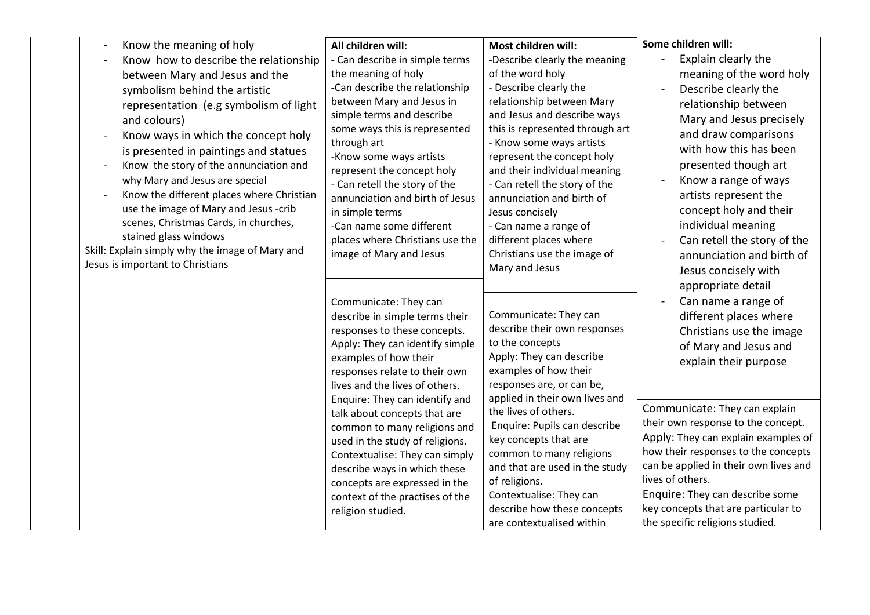| Know the meaning of holy                                                                                                                                                                                                                                                                                                                                                                                                                                                                                                                                                      | All children will:                                                                                                                                                                                                                                                                                                                                                                                                                                                                                                     | Most children will:                                                                                                                                                                                                                                                                                                                                                                                                                                       | Some children will:                                                                                                                                                                                                                                                                                                                                                                                                                                        |
|-------------------------------------------------------------------------------------------------------------------------------------------------------------------------------------------------------------------------------------------------------------------------------------------------------------------------------------------------------------------------------------------------------------------------------------------------------------------------------------------------------------------------------------------------------------------------------|------------------------------------------------------------------------------------------------------------------------------------------------------------------------------------------------------------------------------------------------------------------------------------------------------------------------------------------------------------------------------------------------------------------------------------------------------------------------------------------------------------------------|-----------------------------------------------------------------------------------------------------------------------------------------------------------------------------------------------------------------------------------------------------------------------------------------------------------------------------------------------------------------------------------------------------------------------------------------------------------|------------------------------------------------------------------------------------------------------------------------------------------------------------------------------------------------------------------------------------------------------------------------------------------------------------------------------------------------------------------------------------------------------------------------------------------------------------|
| Know how to describe the relationship<br>between Mary and Jesus and the<br>symbolism behind the artistic<br>representation (e.g symbolism of light<br>and colours)<br>Know ways in which the concept holy<br>is presented in paintings and statues<br>Know the story of the annunciation and<br>why Mary and Jesus are special<br>Know the different places where Christian<br>use the image of Mary and Jesus -crib<br>scenes, Christmas Cards, in churches,<br>stained glass windows<br>Skill: Explain simply why the image of Mary and<br>Jesus is important to Christians | - Can describe in simple terms<br>the meaning of holy<br>-Can describe the relationship<br>between Mary and Jesus in<br>simple terms and describe<br>some ways this is represented<br>through art<br>-Know some ways artists<br>represent the concept holy<br>- Can retell the story of the<br>annunciation and birth of Jesus<br>in simple terms<br>-Can name some different<br>places where Christians use the<br>image of Mary and Jesus                                                                            | -Describe clearly the meaning<br>of the word holy<br>- Describe clearly the<br>relationship between Mary<br>and Jesus and describe ways<br>this is represented through art<br>- Know some ways artists<br>represent the concept holy<br>and their individual meaning<br>- Can retell the story of the<br>annunciation and birth of<br>Jesus concisely<br>- Can name a range of<br>different places where<br>Christians use the image of<br>Mary and Jesus | Explain clearly the<br>meaning of the word holy<br>Describe clearly the<br>relationship between<br>Mary and Jesus precisely<br>and draw comparisons<br>with how this has been<br>presented though art<br>Know a range of ways<br>artists represent the<br>concept holy and their<br>individual meaning<br>Can retell the story of the<br>annunciation and birth of<br>Jesus concisely with<br>appropriate detail                                           |
|                                                                                                                                                                                                                                                                                                                                                                                                                                                                                                                                                                               | Communicate: They can<br>describe in simple terms their<br>responses to these concepts.<br>Apply: They can identify simple<br>examples of how their<br>responses relate to their own<br>lives and the lives of others.<br>Enquire: They can identify and<br>talk about concepts that are<br>common to many religions and<br>used in the study of religions.<br>Contextualise: They can simply<br>describe ways in which these<br>concepts are expressed in the<br>context of the practises of the<br>religion studied. | Communicate: They can<br>describe their own responses<br>to the concepts<br>Apply: They can describe<br>examples of how their<br>responses are, or can be,<br>applied in their own lives and<br>the lives of others.<br>Enquire: Pupils can describe<br>key concepts that are<br>common to many religions<br>and that are used in the study<br>of religions.<br>Contextualise: They can<br>describe how these concepts<br>are contextualised within       | Can name a range of<br>different places where<br>Christians use the image<br>of Mary and Jesus and<br>explain their purpose<br>Communicate: They can explain<br>their own response to the concept.<br>Apply: They can explain examples of<br>how their responses to the concepts<br>can be applied in their own lives and<br>lives of others.<br>Enquire: They can describe some<br>key concepts that are particular to<br>the specific religions studied. |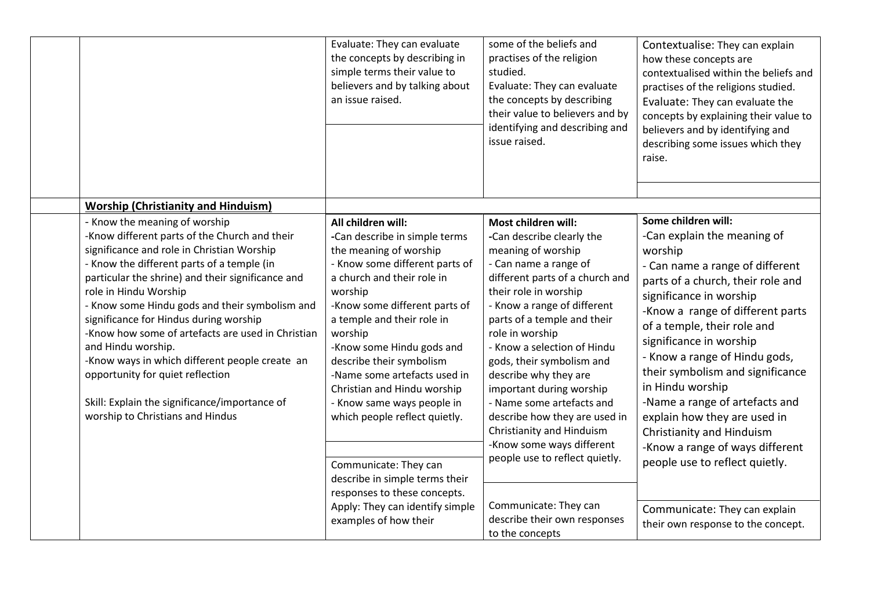|                                                                                                                                                                                                                                                                                                                                                                                                                                                                                                                                                                                                            | Evaluate: They can evaluate<br>the concepts by describing in<br>simple terms their value to<br>believers and by talking about<br>an issue raised.                                                                                                                                                                                                                                                                                                                                                                    | some of the beliefs and<br>practises of the religion<br>studied.<br>Evaluate: They can evaluate<br>the concepts by describing<br>their value to believers and by<br>identifying and describing and<br>issue raised.                                                                                                                                                                                                                                                                                                     | Contextualise: They can explain<br>how these concepts are<br>contextualised within the beliefs and<br>practises of the religions studied.<br>Evaluate: They can evaluate the<br>concepts by explaining their value to<br>believers and by identifying and<br>describing some issues which they<br>raise.                                                                                                                                                                                                                    |
|------------------------------------------------------------------------------------------------------------------------------------------------------------------------------------------------------------------------------------------------------------------------------------------------------------------------------------------------------------------------------------------------------------------------------------------------------------------------------------------------------------------------------------------------------------------------------------------------------------|----------------------------------------------------------------------------------------------------------------------------------------------------------------------------------------------------------------------------------------------------------------------------------------------------------------------------------------------------------------------------------------------------------------------------------------------------------------------------------------------------------------------|-------------------------------------------------------------------------------------------------------------------------------------------------------------------------------------------------------------------------------------------------------------------------------------------------------------------------------------------------------------------------------------------------------------------------------------------------------------------------------------------------------------------------|-----------------------------------------------------------------------------------------------------------------------------------------------------------------------------------------------------------------------------------------------------------------------------------------------------------------------------------------------------------------------------------------------------------------------------------------------------------------------------------------------------------------------------|
| <b>Worship (Christianity and Hinduism)</b>                                                                                                                                                                                                                                                                                                                                                                                                                                                                                                                                                                 |                                                                                                                                                                                                                                                                                                                                                                                                                                                                                                                      |                                                                                                                                                                                                                                                                                                                                                                                                                                                                                                                         |                                                                                                                                                                                                                                                                                                                                                                                                                                                                                                                             |
| - Know the meaning of worship<br>-Know different parts of the Church and their<br>significance and role in Christian Worship<br>- Know the different parts of a temple (in<br>particular the shrine) and their significance and<br>role in Hindu Worship<br>- Know some Hindu gods and their symbolism and<br>significance for Hindus during worship<br>-Know how some of artefacts are used in Christian<br>and Hindu worship.<br>-Know ways in which different people create an<br>opportunity for quiet reflection<br>Skill: Explain the significance/importance of<br>worship to Christians and Hindus | All children will:<br>-Can describe in simple terms<br>the meaning of worship<br>- Know some different parts of<br>a church and their role in<br>worship<br>-Know some different parts of<br>a temple and their role in<br>worship<br>-Know some Hindu gods and<br>describe their symbolism<br>-Name some artefacts used in<br>Christian and Hindu worship<br>- Know same ways people in<br>which people reflect quietly.<br>Communicate: They can<br>describe in simple terms their<br>responses to these concepts. | Most children will:<br>-Can describe clearly the<br>meaning of worship<br>- Can name a range of<br>different parts of a church and<br>their role in worship<br>- Know a range of different<br>parts of a temple and their<br>role in worship<br>- Know a selection of Hindu<br>gods, their symbolism and<br>describe why they are<br>important during worship<br>- Name some artefacts and<br>describe how they are used in<br>Christianity and Hinduism<br>-Know some ways different<br>people use to reflect quietly. | Some children will:<br>-Can explain the meaning of<br>worship<br>- Can name a range of different<br>parts of a church, their role and<br>significance in worship<br>-Know a range of different parts<br>of a temple, their role and<br>significance in worship<br>- Know a range of Hindu gods,<br>their symbolism and significance<br>in Hindu worship<br>-Name a range of artefacts and<br>explain how they are used in<br>Christianity and Hinduism<br>-Know a range of ways different<br>people use to reflect quietly. |
|                                                                                                                                                                                                                                                                                                                                                                                                                                                                                                                                                                                                            | Apply: They can identify simple<br>examples of how their                                                                                                                                                                                                                                                                                                                                                                                                                                                             | Communicate: They can<br>describe their own responses<br>to the concepts                                                                                                                                                                                                                                                                                                                                                                                                                                                | Communicate: They can explain<br>their own response to the concept.                                                                                                                                                                                                                                                                                                                                                                                                                                                         |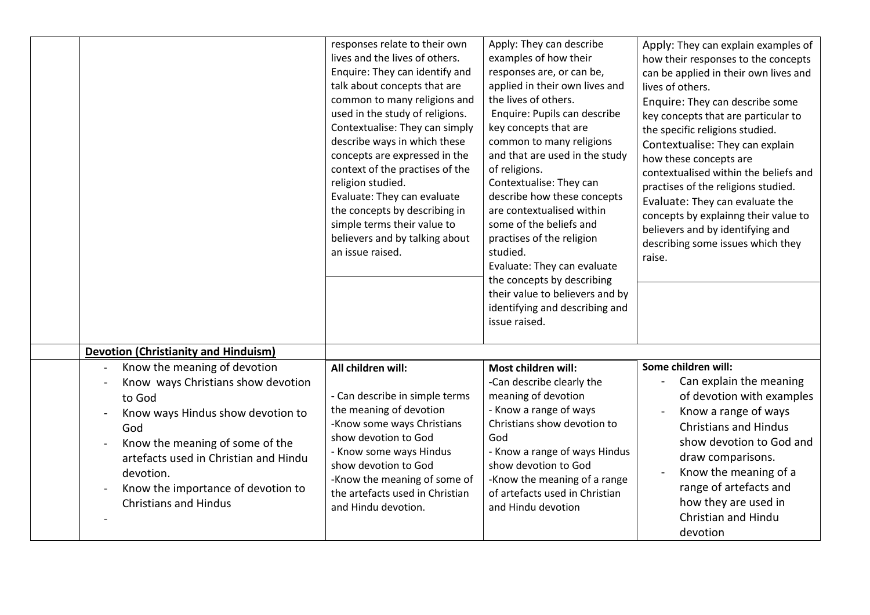|                                                                                                                                                                                                                                                                                         | responses relate to their own<br>lives and the lives of others.<br>Enquire: They can identify and<br>talk about concepts that are<br>common to many religions and<br>used in the study of religions.<br>Contextualise: They can simply<br>describe ways in which these<br>concepts are expressed in the<br>context of the practises of the<br>religion studied.<br>Evaluate: They can evaluate<br>the concepts by describing in<br>simple terms their value to<br>believers and by talking about<br>an issue raised. | Apply: They can describe<br>examples of how their<br>responses are, or can be,<br>applied in their own lives and<br>the lives of others.<br>Enquire: Pupils can describe<br>key concepts that are<br>common to many religions<br>and that are used in the study<br>of religions.<br>Contextualise: They can<br>describe how these concepts<br>are contextualised within<br>some of the beliefs and<br>practises of the religion<br>studied.<br>Evaluate: They can evaluate<br>the concepts by describing<br>their value to believers and by<br>identifying and describing and | Apply: They can explain examples of<br>how their responses to the concepts<br>can be applied in their own lives and<br>lives of others.<br>Enquire: They can describe some<br>key concepts that are particular to<br>the specific religions studied.<br>Contextualise: They can explain<br>how these concepts are<br>contextualised within the beliefs and<br>practises of the religions studied.<br>Evaluate: They can evaluate the<br>concepts by explainng their value to<br>believers and by identifying and<br>describing some issues which they<br>raise. |
|-----------------------------------------------------------------------------------------------------------------------------------------------------------------------------------------------------------------------------------------------------------------------------------------|----------------------------------------------------------------------------------------------------------------------------------------------------------------------------------------------------------------------------------------------------------------------------------------------------------------------------------------------------------------------------------------------------------------------------------------------------------------------------------------------------------------------|-------------------------------------------------------------------------------------------------------------------------------------------------------------------------------------------------------------------------------------------------------------------------------------------------------------------------------------------------------------------------------------------------------------------------------------------------------------------------------------------------------------------------------------------------------------------------------|-----------------------------------------------------------------------------------------------------------------------------------------------------------------------------------------------------------------------------------------------------------------------------------------------------------------------------------------------------------------------------------------------------------------------------------------------------------------------------------------------------------------------------------------------------------------|
|                                                                                                                                                                                                                                                                                         |                                                                                                                                                                                                                                                                                                                                                                                                                                                                                                                      | issue raised.                                                                                                                                                                                                                                                                                                                                                                                                                                                                                                                                                                 |                                                                                                                                                                                                                                                                                                                                                                                                                                                                                                                                                                 |
| <b>Devotion (Christianity and Hinduism)</b>                                                                                                                                                                                                                                             |                                                                                                                                                                                                                                                                                                                                                                                                                                                                                                                      |                                                                                                                                                                                                                                                                                                                                                                                                                                                                                                                                                                               |                                                                                                                                                                                                                                                                                                                                                                                                                                                                                                                                                                 |
| Know the meaning of devotion<br>Know ways Christians show devotion<br>to God<br>Know ways Hindus show devotion to<br>God<br>Know the meaning of some of the<br>artefacts used in Christian and Hindu<br>devotion.<br>Know the importance of devotion to<br><b>Christians and Hindus</b> | All children will:<br>- Can describe in simple terms<br>the meaning of devotion<br>-Know some ways Christians<br>show devotion to God<br>- Know some ways Hindus<br>show devotion to God<br>-Know the meaning of some of<br>the artefacts used in Christian<br>and Hindu devotion.                                                                                                                                                                                                                                   | Most children will:<br>-Can describe clearly the<br>meaning of devotion<br>- Know a range of ways<br>Christians show devotion to<br>God<br>- Know a range of ways Hindus<br>show devotion to God<br>-Know the meaning of a range<br>of artefacts used in Christian<br>and Hindu devotion                                                                                                                                                                                                                                                                                      | Some children will:<br>Can explain the meaning<br>of devotion with examples<br>Know a range of ways<br><b>Christians and Hindus</b><br>show devotion to God and<br>draw comparisons.<br>Know the meaning of a<br>range of artefacts and<br>how they are used in<br>Christian and Hindu<br>devotion                                                                                                                                                                                                                                                              |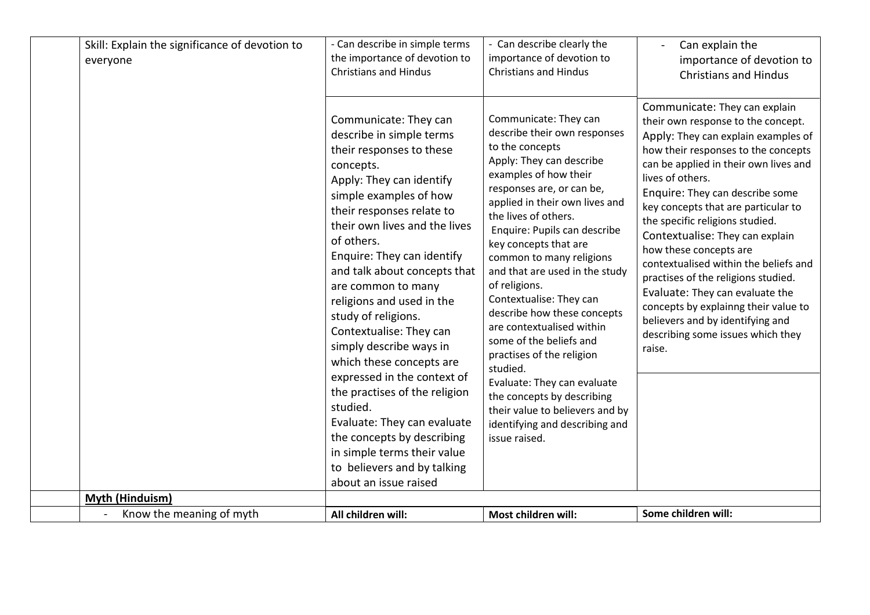| Skill: Explain the significance of devotion to<br>everyone | - Can describe in simple terms<br>the importance of devotion to<br><b>Christians and Hindus</b>                                                                                                                                                                                                                                                                                                                                                                                                                                                                                                                                                                                        | - Can describe clearly the<br>importance of devotion to<br><b>Christians and Hindus</b>                                                                                                                                                                                                                                                                                                                                                                                                                                                                                                                                                                                    | Can explain the<br>importance of devotion to<br><b>Christians and Hindus</b>                                                                                                                                                                                                                                                                                                                                                                                                                                                                                                                                                           |
|------------------------------------------------------------|----------------------------------------------------------------------------------------------------------------------------------------------------------------------------------------------------------------------------------------------------------------------------------------------------------------------------------------------------------------------------------------------------------------------------------------------------------------------------------------------------------------------------------------------------------------------------------------------------------------------------------------------------------------------------------------|----------------------------------------------------------------------------------------------------------------------------------------------------------------------------------------------------------------------------------------------------------------------------------------------------------------------------------------------------------------------------------------------------------------------------------------------------------------------------------------------------------------------------------------------------------------------------------------------------------------------------------------------------------------------------|----------------------------------------------------------------------------------------------------------------------------------------------------------------------------------------------------------------------------------------------------------------------------------------------------------------------------------------------------------------------------------------------------------------------------------------------------------------------------------------------------------------------------------------------------------------------------------------------------------------------------------------|
|                                                            | Communicate: They can<br>describe in simple terms<br>their responses to these<br>concepts.<br>Apply: They can identify<br>simple examples of how<br>their responses relate to<br>their own lives and the lives<br>of others.<br>Enquire: They can identify<br>and talk about concepts that<br>are common to many<br>religions and used in the<br>study of religions.<br>Contextualise: They can<br>simply describe ways in<br>which these concepts are<br>expressed in the context of<br>the practises of the religion<br>studied.<br>Evaluate: They can evaluate<br>the concepts by describing<br>in simple terms their value<br>to believers and by talking<br>about an issue raised | Communicate: They can<br>describe their own responses<br>to the concepts<br>Apply: They can describe<br>examples of how their<br>responses are, or can be,<br>applied in their own lives and<br>the lives of others.<br>Enquire: Pupils can describe<br>key concepts that are<br>common to many religions<br>and that are used in the study<br>of religions.<br>Contextualise: They can<br>describe how these concepts<br>are contextualised within<br>some of the beliefs and<br>practises of the religion<br>studied.<br>Evaluate: They can evaluate<br>the concepts by describing<br>their value to believers and by<br>identifying and describing and<br>issue raised. | Communicate: They can explain<br>their own response to the concept.<br>Apply: They can explain examples of<br>how their responses to the concepts<br>can be applied in their own lives and<br>lives of others.<br>Enquire: They can describe some<br>key concepts that are particular to<br>the specific religions studied.<br>Contextualise: They can explain<br>how these concepts are<br>contextualised within the beliefs and<br>practises of the religions studied.<br>Evaluate: They can evaluate the<br>concepts by explainng their value to<br>believers and by identifying and<br>describing some issues which they<br>raise. |
| Myth (Hinduism)                                            |                                                                                                                                                                                                                                                                                                                                                                                                                                                                                                                                                                                                                                                                                        |                                                                                                                                                                                                                                                                                                                                                                                                                                                                                                                                                                                                                                                                            |                                                                                                                                                                                                                                                                                                                                                                                                                                                                                                                                                                                                                                        |
| Know the meaning of myth                                   | All children will:                                                                                                                                                                                                                                                                                                                                                                                                                                                                                                                                                                                                                                                                     | Most children will:                                                                                                                                                                                                                                                                                                                                                                                                                                                                                                                                                                                                                                                        | Some children will:                                                                                                                                                                                                                                                                                                                                                                                                                                                                                                                                                                                                                    |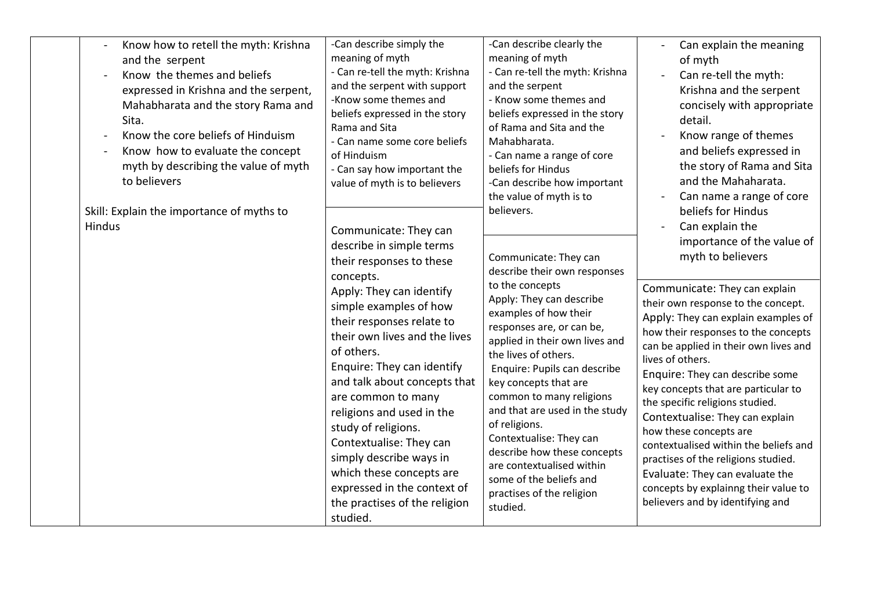| Know how to retell the myth: Krishna<br>and the serpent<br>Know the themes and beliefs<br>expressed in Krishna and the serpent,<br>Mahabharata and the story Rama and<br>Sita.<br>Know the core beliefs of Hinduism<br>Know how to evaluate the concept<br>myth by describing the value of myth<br>to believers | -Can describe simply the<br>meaning of myth<br>- Can re-tell the myth: Krishna<br>and the serpent with support<br>-Know some themes and<br>beliefs expressed in the story<br>Rama and Sita<br>- Can name some core beliefs<br>of Hinduism<br>- Can say how important the<br>value of myth is to believers | -Can describe clearly the<br>meaning of myth<br>- Can re-tell the myth: Krishna<br>and the serpent<br>- Know some themes and<br>beliefs expressed in the story<br>of Rama and Sita and the<br>Mahabharata.<br>- Can name a range of core<br>beliefs for Hindus<br>-Can describe how important | Can explain the meaning<br>of myth<br>Can re-tell the myth:<br>Krishna and the serpent<br>concisely with appropriate<br>detail.<br>Know range of themes<br>and beliefs expressed in<br>the story of Rama and Sita<br>and the Mahaharata.                                                                                                                                  |
|-----------------------------------------------------------------------------------------------------------------------------------------------------------------------------------------------------------------------------------------------------------------------------------------------------------------|-----------------------------------------------------------------------------------------------------------------------------------------------------------------------------------------------------------------------------------------------------------------------------------------------------------|-----------------------------------------------------------------------------------------------------------------------------------------------------------------------------------------------------------------------------------------------------------------------------------------------|---------------------------------------------------------------------------------------------------------------------------------------------------------------------------------------------------------------------------------------------------------------------------------------------------------------------------------------------------------------------------|
| Skill: Explain the importance of myths to<br>Hindus                                                                                                                                                                                                                                                             | Communicate: They can<br>describe in simple terms<br>their responses to these<br>concepts.<br>Apply: They can identify<br>simple examples of how<br>their responses relate to<br>their own lives and the lives<br>of others.<br>Enquire: They can identify                                                | the value of myth is to<br>believers.<br>Communicate: They can<br>describe their own responses<br>to the concepts<br>Apply: They can describe<br>examples of how their<br>responses are, or can be,<br>applied in their own lives and<br>the lives of others.<br>Enquire: Pupils can describe | Can name a range of core<br>beliefs for Hindus<br>Can explain the<br>importance of the value of<br>myth to believers<br>Communicate: They can explain<br>their own response to the concept.<br>Apply: They can explain examples of<br>how their responses to the concepts<br>can be applied in their own lives and<br>lives of others.<br>Enquire: They can describe some |
|                                                                                                                                                                                                                                                                                                                 | and talk about concepts that<br>are common to many<br>religions and used in the<br>study of religions.<br>Contextualise: They can<br>simply describe ways in<br>which these concepts are<br>expressed in the context of<br>the practises of the religion<br>studied.                                      | key concepts that are<br>common to many religions<br>and that are used in the study<br>of religions.<br>Contextualise: They can<br>describe how these concepts<br>are contextualised within<br>some of the beliefs and<br>practises of the religion<br>studied.                               | key concepts that are particular to<br>the specific religions studied.<br>Contextualise: They can explain<br>how these concepts are<br>contextualised within the beliefs and<br>practises of the religions studied.<br>Evaluate: They can evaluate the<br>concepts by explainng their value to<br>believers and by identifying and                                        |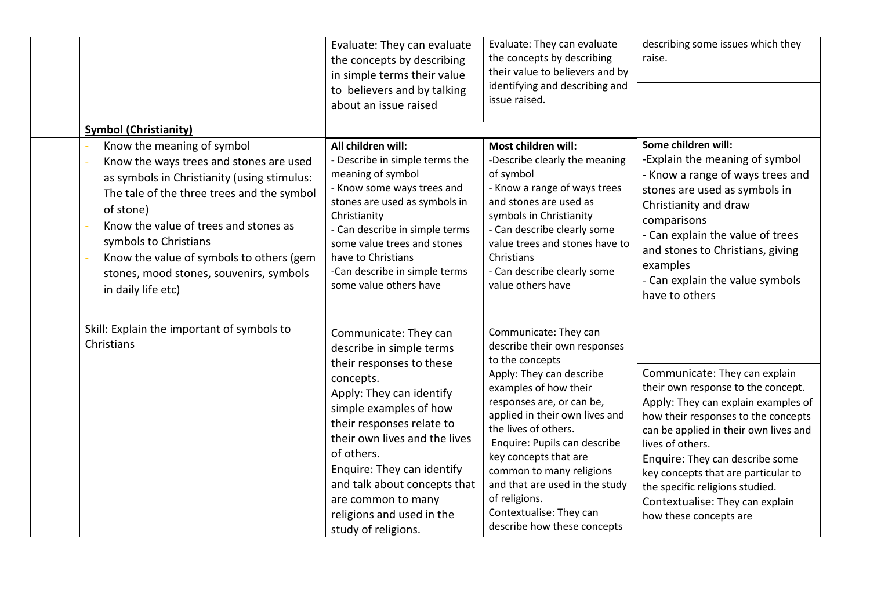|                                                                                                                                                                                                                                                                                                                                                                | Evaluate: They can evaluate<br>the concepts by describing<br>in simple terms their value<br>to believers and by talking<br>about an issue raised                                                                                                                                                                                                                     | Evaluate: They can evaluate<br>the concepts by describing<br>their value to believers and by<br>identifying and describing and<br>issue raised.                                                                                                                                                                                                                                                                        | describing some issues which they<br>raise.                                                                                                                                                                                                                                                                                                                                              |
|----------------------------------------------------------------------------------------------------------------------------------------------------------------------------------------------------------------------------------------------------------------------------------------------------------------------------------------------------------------|----------------------------------------------------------------------------------------------------------------------------------------------------------------------------------------------------------------------------------------------------------------------------------------------------------------------------------------------------------------------|------------------------------------------------------------------------------------------------------------------------------------------------------------------------------------------------------------------------------------------------------------------------------------------------------------------------------------------------------------------------------------------------------------------------|------------------------------------------------------------------------------------------------------------------------------------------------------------------------------------------------------------------------------------------------------------------------------------------------------------------------------------------------------------------------------------------|
| <b>Symbol (Christianity)</b>                                                                                                                                                                                                                                                                                                                                   |                                                                                                                                                                                                                                                                                                                                                                      |                                                                                                                                                                                                                                                                                                                                                                                                                        |                                                                                                                                                                                                                                                                                                                                                                                          |
| Know the meaning of symbol<br>Know the ways trees and stones are used<br>as symbols in Christianity (using stimulus:<br>The tale of the three trees and the symbol<br>of stone)<br>Know the value of trees and stones as<br>symbols to Christians<br>Know the value of symbols to others (gem<br>stones, mood stones, souvenirs, symbols<br>in daily life etc) | All children will:<br>- Describe in simple terms the<br>meaning of symbol<br>- Know some ways trees and<br>stones are used as symbols in<br>Christianity<br>- Can describe in simple terms<br>some value trees and stones<br>have to Christians<br>-Can describe in simple terms<br>some value others have                                                           | Most children will:<br>-Describe clearly the meaning<br>of symbol<br>- Know a range of ways trees<br>and stones are used as<br>symbols in Christianity<br>- Can describe clearly some<br>value trees and stones have to<br>Christians<br>- Can describe clearly some<br>value others have                                                                                                                              | Some children will:<br>-Explain the meaning of symbol<br>- Know a range of ways trees and<br>stones are used as symbols in<br>Christianity and draw<br>comparisons<br>- Can explain the value of trees<br>and stones to Christians, giving<br>examples<br>- Can explain the value symbols<br>have to others                                                                              |
| Skill: Explain the important of symbols to<br>Christians                                                                                                                                                                                                                                                                                                       | Communicate: They can<br>describe in simple terms<br>their responses to these<br>concepts.<br>Apply: They can identify<br>simple examples of how<br>their responses relate to<br>their own lives and the lives<br>of others.<br>Enquire: They can identify<br>and talk about concepts that<br>are common to many<br>religions and used in the<br>study of religions. | Communicate: They can<br>describe their own responses<br>to the concepts<br>Apply: They can describe<br>examples of how their<br>responses are, or can be,<br>applied in their own lives and<br>the lives of others.<br>Enquire: Pupils can describe<br>key concepts that are<br>common to many religions<br>and that are used in the study<br>of religions.<br>Contextualise: They can<br>describe how these concepts | Communicate: They can explain<br>their own response to the concept.<br>Apply: They can explain examples of<br>how their responses to the concepts<br>can be applied in their own lives and<br>lives of others.<br>Enquire: They can describe some<br>key concepts that are particular to<br>the specific religions studied.<br>Contextualise: They can explain<br>how these concepts are |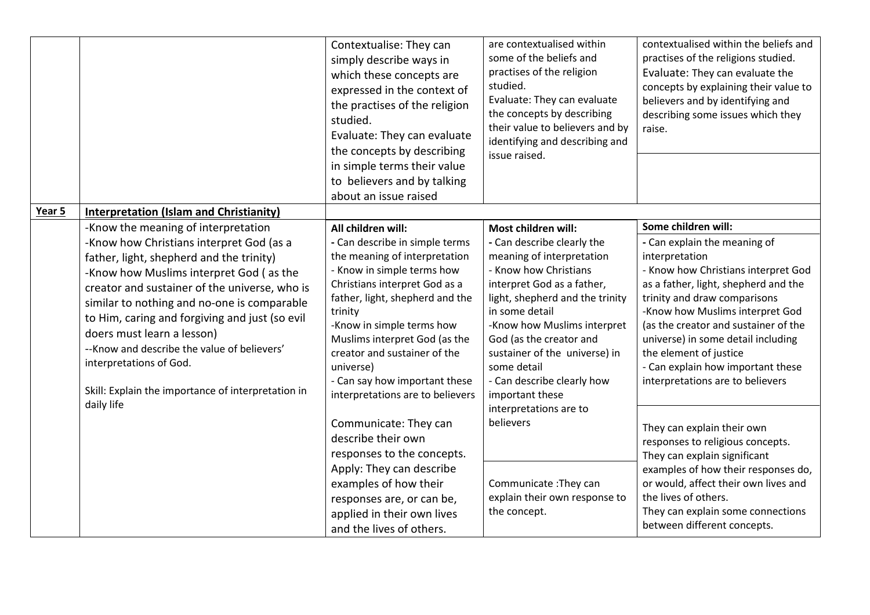|        |                                                                                                                                                                                                                                                                                                                                                                                                                                                                                                       | Contextualise: They can<br>simply describe ways in<br>which these concepts are<br>expressed in the context of<br>the practises of the religion<br>studied.<br>Evaluate: They can evaluate<br>the concepts by describing<br>in simple terms their value<br>to believers and by talking<br>about an issue raised                                                                     | are contextualised within<br>some of the beliefs and<br>practises of the religion<br>studied.<br>Evaluate: They can evaluate<br>the concepts by describing<br>their value to believers and by<br>identifying and describing and<br>issue raised.                                                                                                      | contextualised within the beliefs and<br>practises of the religions studied.<br>Evaluate: They can evaluate the<br>concepts by explaining their value to<br>believers and by identifying and<br>describing some issues which they<br>raise.                                                                                                                                                              |
|--------|-------------------------------------------------------------------------------------------------------------------------------------------------------------------------------------------------------------------------------------------------------------------------------------------------------------------------------------------------------------------------------------------------------------------------------------------------------------------------------------------------------|------------------------------------------------------------------------------------------------------------------------------------------------------------------------------------------------------------------------------------------------------------------------------------------------------------------------------------------------------------------------------------|-------------------------------------------------------------------------------------------------------------------------------------------------------------------------------------------------------------------------------------------------------------------------------------------------------------------------------------------------------|----------------------------------------------------------------------------------------------------------------------------------------------------------------------------------------------------------------------------------------------------------------------------------------------------------------------------------------------------------------------------------------------------------|
| Year 5 | <b>Interpretation (Islam and Christianity)</b>                                                                                                                                                                                                                                                                                                                                                                                                                                                        |                                                                                                                                                                                                                                                                                                                                                                                    |                                                                                                                                                                                                                                                                                                                                                       |                                                                                                                                                                                                                                                                                                                                                                                                          |
|        | -Know the meaning of interpretation<br>-Know how Christians interpret God (as a<br>father, light, shepherd and the trinity)<br>-Know how Muslims interpret God (as the<br>creator and sustainer of the universe, who is<br>similar to nothing and no-one is comparable<br>to Him, caring and forgiving and just (so evil<br>doers must learn a lesson)<br>-- Know and describe the value of believers'<br>interpretations of God.<br>Skill: Explain the importance of interpretation in<br>daily life | All children will:<br>- Can describe in simple terms<br>the meaning of interpretation<br>- Know in simple terms how<br>Christians interpret God as a<br>father, light, shepherd and the<br>trinity<br>-Know in simple terms how<br>Muslims interpret God (as the<br>creator and sustainer of the<br>universe)<br>- Can say how important these<br>interpretations are to believers | Most children will:<br>- Can describe clearly the<br>meaning of interpretation<br>- Know how Christians<br>interpret God as a father,<br>light, shepherd and the trinity<br>in some detail<br>-Know how Muslims interpret<br>God (as the creator and<br>sustainer of the universe) in<br>some detail<br>- Can describe clearly how<br>important these | Some children will:<br>- Can explain the meaning of<br>interpretation<br>- Know how Christians interpret God<br>as a father, light, shepherd and the<br>trinity and draw comparisons<br>-Know how Muslims interpret God<br>(as the creator and sustainer of the<br>universe) in some detail including<br>the element of justice<br>- Can explain how important these<br>interpretations are to believers |
|        |                                                                                                                                                                                                                                                                                                                                                                                                                                                                                                       | Communicate: They can<br>describe their own<br>responses to the concepts.<br>Apply: They can describe<br>examples of how their<br>responses are, or can be,<br>applied in their own lives<br>and the lives of others.                                                                                                                                                              | interpretations are to<br>believers<br>Communicate: They can<br>explain their own response to<br>the concept.                                                                                                                                                                                                                                         | They can explain their own<br>responses to religious concepts.<br>They can explain significant<br>examples of how their responses do,<br>or would, affect their own lives and<br>the lives of others.<br>They can explain some connections<br>between different concepts.                                                                                                                                |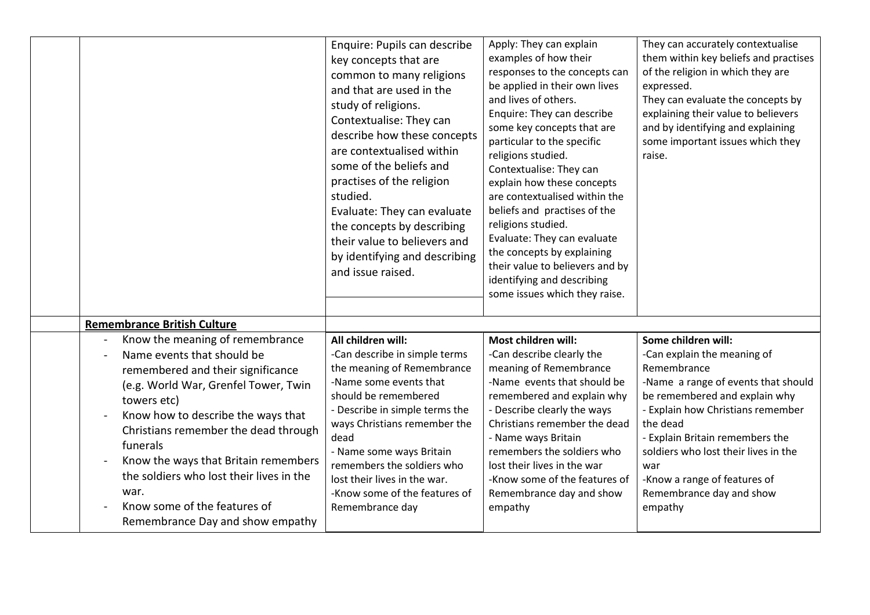|                                                                                                                                                                                                                                                                                                                                                                                                                     | Enquire: Pupils can describe<br>key concepts that are<br>common to many religions<br>and that are used in the<br>study of religions.<br>Contextualise: They can<br>describe how these concepts<br>are contextualised within<br>some of the beliefs and<br>practises of the religion<br>studied.<br>Evaluate: They can evaluate<br>the concepts by describing<br>their value to believers and<br>by identifying and describing<br>and issue raised. | Apply: They can explain<br>examples of how their<br>responses to the concepts can<br>be applied in their own lives<br>and lives of others.<br>Enquire: They can describe<br>some key concepts that are<br>particular to the specific<br>religions studied.<br>Contextualise: They can<br>explain how these concepts<br>are contextualised within the<br>beliefs and practises of the<br>religions studied.<br>Evaluate: They can evaluate<br>the concepts by explaining<br>their value to believers and by<br>identifying and describing<br>some issues which they raise. | They can accurately contextualise<br>them within key beliefs and practises<br>of the religion in which they are<br>expressed.<br>They can evaluate the concepts by<br>explaining their value to believers<br>and by identifying and explaining<br>some important issues which they<br>raise.                                                        |
|---------------------------------------------------------------------------------------------------------------------------------------------------------------------------------------------------------------------------------------------------------------------------------------------------------------------------------------------------------------------------------------------------------------------|----------------------------------------------------------------------------------------------------------------------------------------------------------------------------------------------------------------------------------------------------------------------------------------------------------------------------------------------------------------------------------------------------------------------------------------------------|---------------------------------------------------------------------------------------------------------------------------------------------------------------------------------------------------------------------------------------------------------------------------------------------------------------------------------------------------------------------------------------------------------------------------------------------------------------------------------------------------------------------------------------------------------------------------|-----------------------------------------------------------------------------------------------------------------------------------------------------------------------------------------------------------------------------------------------------------------------------------------------------------------------------------------------------|
| <b>Remembrance British Culture</b>                                                                                                                                                                                                                                                                                                                                                                                  |                                                                                                                                                                                                                                                                                                                                                                                                                                                    |                                                                                                                                                                                                                                                                                                                                                                                                                                                                                                                                                                           |                                                                                                                                                                                                                                                                                                                                                     |
| Know the meaning of remembrance<br>Name events that should be<br>remembered and their significance<br>(e.g. World War, Grenfel Tower, Twin<br>towers etc)<br>Know how to describe the ways that<br>Christians remember the dead through<br>funerals<br>Know the ways that Britain remembers<br>the soldiers who lost their lives in the<br>war.<br>Know some of the features of<br>Remembrance Day and show empathy | All children will:<br>-Can describe in simple terms<br>the meaning of Remembrance<br>-Name some events that<br>should be remembered<br>- Describe in simple terms the<br>ways Christians remember the<br>dead<br>- Name some ways Britain<br>remembers the soldiers who<br>lost their lives in the war.<br>-Know some of the features of<br>Remembrance day                                                                                        | Most children will:<br>-Can describe clearly the<br>meaning of Remembrance<br>-Name events that should be<br>remembered and explain why<br>- Describe clearly the ways<br>Christians remember the dead<br>- Name ways Britain<br>remembers the soldiers who<br>lost their lives in the war<br>-Know some of the features of<br>Remembrance day and show<br>empathy                                                                                                                                                                                                        | Some children will:<br>-Can explain the meaning of<br>Remembrance<br>-Name a range of events that should<br>be remembered and explain why<br>- Explain how Christians remember<br>the dead<br>- Explain Britain remembers the<br>soldiers who lost their lives in the<br>war<br>-Know a range of features of<br>Remembrance day and show<br>empathy |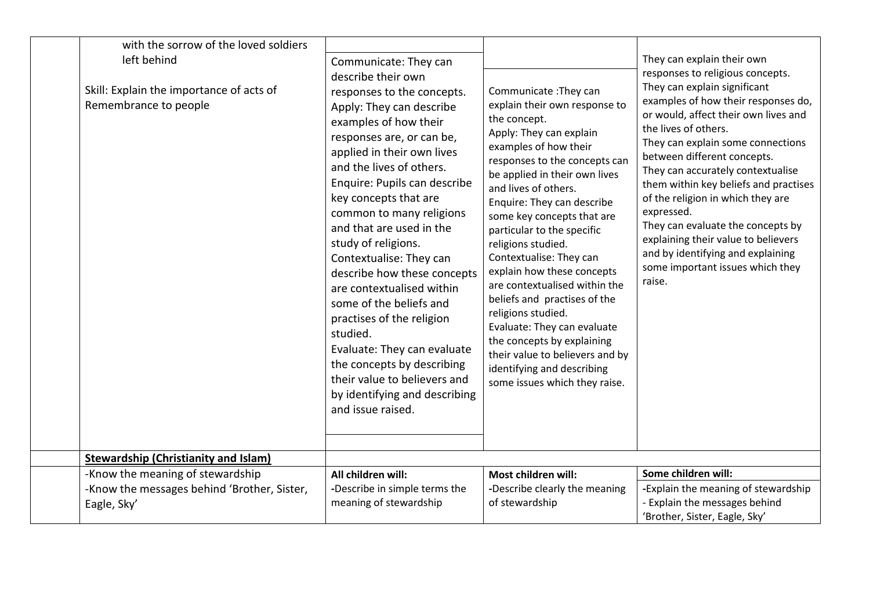| with the sorrow of the loved soldiers                                            |                                                                                                                                                                                                                                                                                                                                                                                                                                                                                                                                                                                                                                                                             |                                                                                                                                                                                                                                                                                                                                                                                                                                                                                                                                                                                                                                                     |                                                                                                                                                                                                                                                                                                                                                                                                                                                                                                                                                                           |
|----------------------------------------------------------------------------------|-----------------------------------------------------------------------------------------------------------------------------------------------------------------------------------------------------------------------------------------------------------------------------------------------------------------------------------------------------------------------------------------------------------------------------------------------------------------------------------------------------------------------------------------------------------------------------------------------------------------------------------------------------------------------------|-----------------------------------------------------------------------------------------------------------------------------------------------------------------------------------------------------------------------------------------------------------------------------------------------------------------------------------------------------------------------------------------------------------------------------------------------------------------------------------------------------------------------------------------------------------------------------------------------------------------------------------------------------|---------------------------------------------------------------------------------------------------------------------------------------------------------------------------------------------------------------------------------------------------------------------------------------------------------------------------------------------------------------------------------------------------------------------------------------------------------------------------------------------------------------------------------------------------------------------------|
| left behind<br>Skill: Explain the importance of acts of<br>Remembrance to people | Communicate: They can<br>describe their own<br>responses to the concepts.<br>Apply: They can describe<br>examples of how their<br>responses are, or can be,<br>applied in their own lives<br>and the lives of others.<br>Enquire: Pupils can describe<br>key concepts that are<br>common to many religions<br>and that are used in the<br>study of religions.<br>Contextualise: They can<br>describe how these concepts<br>are contextualised within<br>some of the beliefs and<br>practises of the religion<br>studied.<br>Evaluate: They can evaluate<br>the concepts by describing<br>their value to believers and<br>by identifying and describing<br>and issue raised. | Communicate: They can<br>explain their own response to<br>the concept.<br>Apply: They can explain<br>examples of how their<br>responses to the concepts can<br>be applied in their own lives<br>and lives of others.<br>Enquire: They can describe<br>some key concepts that are<br>particular to the specific<br>religions studied.<br>Contextualise: They can<br>explain how these concepts<br>are contextualised within the<br>beliefs and practises of the<br>religions studied.<br>Evaluate: They can evaluate<br>the concepts by explaining<br>their value to believers and by<br>identifying and describing<br>some issues which they raise. | They can explain their own<br>responses to religious concepts.<br>They can explain significant<br>examples of how their responses do,<br>or would, affect their own lives and<br>the lives of others.<br>They can explain some connections<br>between different concepts.<br>They can accurately contextualise<br>them within key beliefs and practises<br>of the religion in which they are<br>expressed.<br>They can evaluate the concepts by<br>explaining their value to believers<br>and by identifying and explaining<br>some important issues which they<br>raise. |
| <b>Stewardship (Christianity and Islam)</b><br>-Know the meaning of stewardship  | All children will:                                                                                                                                                                                                                                                                                                                                                                                                                                                                                                                                                                                                                                                          | Most children will:                                                                                                                                                                                                                                                                                                                                                                                                                                                                                                                                                                                                                                 | Some children will:                                                                                                                                                                                                                                                                                                                                                                                                                                                                                                                                                       |
| -Know the messages behind 'Brother, Sister,<br>Eagle, Sky'                       | -Describe in simple terms the<br>meaning of stewardship                                                                                                                                                                                                                                                                                                                                                                                                                                                                                                                                                                                                                     | -Describe clearly the meaning<br>of stewardship                                                                                                                                                                                                                                                                                                                                                                                                                                                                                                                                                                                                     | -Explain the meaning of stewardship<br>- Explain the messages behind<br>'Brother, Sister, Eagle, Sky'                                                                                                                                                                                                                                                                                                                                                                                                                                                                     |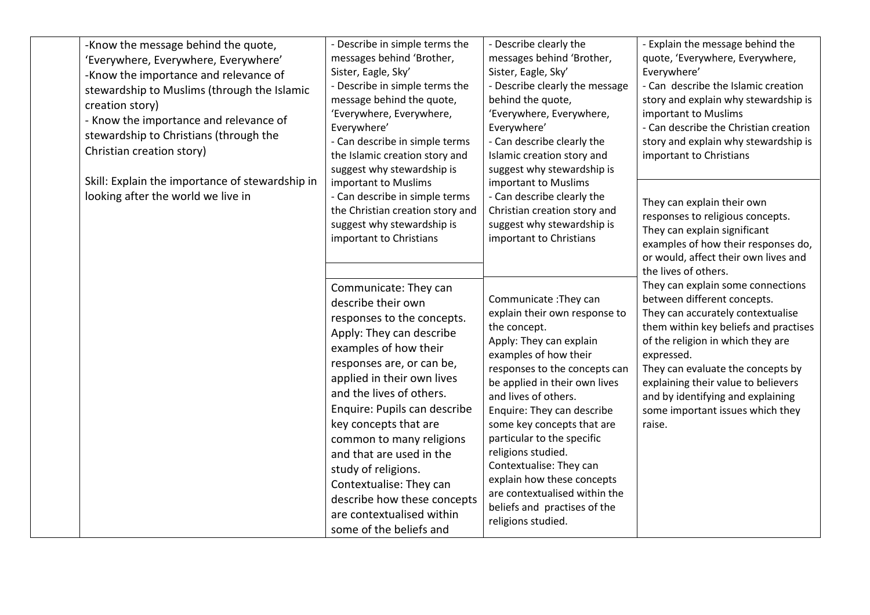| -Know the message behind the quote,<br>'Everywhere, Everywhere, Everywhere'<br>-Know the importance and relevance of<br>stewardship to Muslims (through the Islamic<br>creation story)<br>- Know the importance and relevance of<br>stewardship to Christians (through the<br>Christian creation story) | - Describe in simple terms the<br>messages behind 'Brother,<br>Sister, Eagle, Sky'<br>- Describe in simple terms the<br>message behind the quote,<br>'Everywhere, Everywhere,<br>Everywhere'<br>- Can describe in simple terms<br>the Islamic creation story and<br>suggest why stewardship is                                                                                                                                                                                  | - Describe clearly the<br>messages behind 'Brother,<br>Sister, Eagle, Sky'<br>- Describe clearly the message<br>behind the quote,<br>'Everywhere, Everywhere,<br>Everywhere'<br>- Can describe clearly the<br>Islamic creation story and<br>suggest why stewardship is                                                                                                                                                                                                               | - Explain the message behind the<br>quote, 'Everywhere, Everywhere,<br>Everywhere'<br>- Can describe the Islamic creation<br>story and explain why stewardship is<br>important to Muslims<br>- Can describe the Christian creation<br>story and explain why stewardship is<br>important to Christians                                                            |
|---------------------------------------------------------------------------------------------------------------------------------------------------------------------------------------------------------------------------------------------------------------------------------------------------------|---------------------------------------------------------------------------------------------------------------------------------------------------------------------------------------------------------------------------------------------------------------------------------------------------------------------------------------------------------------------------------------------------------------------------------------------------------------------------------|--------------------------------------------------------------------------------------------------------------------------------------------------------------------------------------------------------------------------------------------------------------------------------------------------------------------------------------------------------------------------------------------------------------------------------------------------------------------------------------|------------------------------------------------------------------------------------------------------------------------------------------------------------------------------------------------------------------------------------------------------------------------------------------------------------------------------------------------------------------|
| Skill: Explain the importance of stewardship in<br>looking after the world we live in                                                                                                                                                                                                                   | important to Muslims<br>- Can describe in simple terms<br>the Christian creation story and<br>suggest why stewardship is<br>important to Christians                                                                                                                                                                                                                                                                                                                             | important to Muslims<br>- Can describe clearly the<br>Christian creation story and<br>suggest why stewardship is<br>important to Christians                                                                                                                                                                                                                                                                                                                                          | They can explain their own<br>responses to religious concepts.<br>They can explain significant<br>examples of how their responses do,<br>or would, affect their own lives and<br>the lives of others.                                                                                                                                                            |
|                                                                                                                                                                                                                                                                                                         | Communicate: They can<br>describe their own<br>responses to the concepts.<br>Apply: They can describe<br>examples of how their<br>responses are, or can be,<br>applied in their own lives<br>and the lives of others.<br>Enquire: Pupils can describe<br>key concepts that are<br>common to many religions<br>and that are used in the<br>study of religions.<br>Contextualise: They can<br>describe how these concepts<br>are contextualised within<br>some of the beliefs and | Communicate: They can<br>explain their own response to<br>the concept.<br>Apply: They can explain<br>examples of how their<br>responses to the concepts can<br>be applied in their own lives<br>and lives of others.<br>Enquire: They can describe<br>some key concepts that are<br>particular to the specific<br>religions studied.<br>Contextualise: They can<br>explain how these concepts<br>are contextualised within the<br>beliefs and practises of the<br>religions studied. | They can explain some connections<br>between different concepts.<br>They can accurately contextualise<br>them within key beliefs and practises<br>of the religion in which they are<br>expressed.<br>They can evaluate the concepts by<br>explaining their value to believers<br>and by identifying and explaining<br>some important issues which they<br>raise. |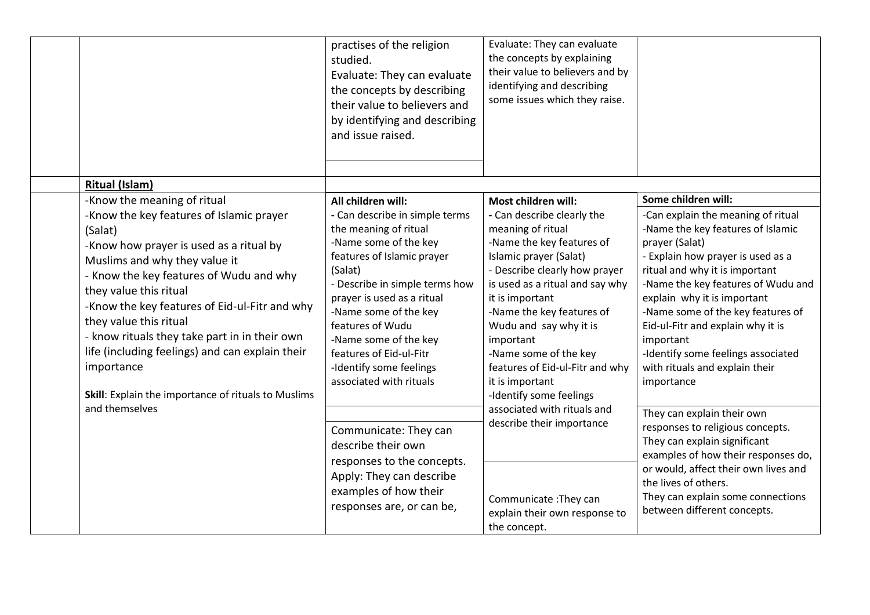|                                                                                                                                                                                                                                                                                                                                                                                                                                                                                         | practises of the religion<br>studied.<br>Evaluate: They can evaluate<br>the concepts by describing<br>their value to believers and<br>by identifying and describing<br>and issue raised.                                                                                                                                                                               | Evaluate: They can evaluate<br>the concepts by explaining<br>their value to believers and by<br>identifying and describing<br>some issues which they raise.                                                                                                                                                                                                                                        |                                                                                                                                                                                                                                                                                                                                                                                                                                           |
|-----------------------------------------------------------------------------------------------------------------------------------------------------------------------------------------------------------------------------------------------------------------------------------------------------------------------------------------------------------------------------------------------------------------------------------------------------------------------------------------|------------------------------------------------------------------------------------------------------------------------------------------------------------------------------------------------------------------------------------------------------------------------------------------------------------------------------------------------------------------------|----------------------------------------------------------------------------------------------------------------------------------------------------------------------------------------------------------------------------------------------------------------------------------------------------------------------------------------------------------------------------------------------------|-------------------------------------------------------------------------------------------------------------------------------------------------------------------------------------------------------------------------------------------------------------------------------------------------------------------------------------------------------------------------------------------------------------------------------------------|
| <b>Ritual (Islam)</b>                                                                                                                                                                                                                                                                                                                                                                                                                                                                   |                                                                                                                                                                                                                                                                                                                                                                        |                                                                                                                                                                                                                                                                                                                                                                                                    |                                                                                                                                                                                                                                                                                                                                                                                                                                           |
| -Know the meaning of ritual<br>-Know the key features of Islamic prayer<br>(Salat)<br>-Know how prayer is used as a ritual by<br>Muslims and why they value it<br>- Know the key features of Wudu and why<br>they value this ritual<br>-Know the key features of Eid-ul-Fitr and why<br>they value this ritual<br>- know rituals they take part in in their own<br>life (including feelings) and can explain their<br>importance<br>Skill: Explain the importance of rituals to Muslims | All children will:<br>- Can describe in simple terms<br>the meaning of ritual<br>-Name some of the key<br>features of Islamic prayer<br>(Salat)<br>- Describe in simple terms how<br>prayer is used as a ritual<br>-Name some of the key<br>features of Wudu<br>-Name some of the key<br>features of Eid-ul-Fitr<br>-Identify some feelings<br>associated with rituals | Most children will:<br>- Can describe clearly the<br>meaning of ritual<br>-Name the key features of<br>Islamic prayer (Salat)<br>- Describe clearly how prayer<br>is used as a ritual and say why<br>it is important<br>-Name the key features of<br>Wudu and say why it is<br>important<br>-Name some of the key<br>features of Eid-ul-Fitr and why<br>it is important<br>-Identify some feelings | Some children will:<br>-Can explain the meaning of ritual<br>-Name the key features of Islamic<br>prayer (Salat)<br>- Explain how prayer is used as a<br>ritual and why it is important<br>-Name the key features of Wudu and<br>explain why it is important<br>-Name some of the key features of<br>Eid-ul-Fitr and explain why it is<br>important<br>-Identify some feelings associated<br>with rituals and explain their<br>importance |
| and themselves                                                                                                                                                                                                                                                                                                                                                                                                                                                                          | Communicate: They can<br>describe their own<br>responses to the concepts.<br>Apply: They can describe<br>examples of how their<br>responses are, or can be,                                                                                                                                                                                                            | associated with rituals and<br>describe their importance<br>Communicate: They can<br>explain their own response to<br>the concept.                                                                                                                                                                                                                                                                 | They can explain their own<br>responses to religious concepts.<br>They can explain significant<br>examples of how their responses do,<br>or would, affect their own lives and<br>the lives of others.<br>They can explain some connections<br>between different concepts.                                                                                                                                                                 |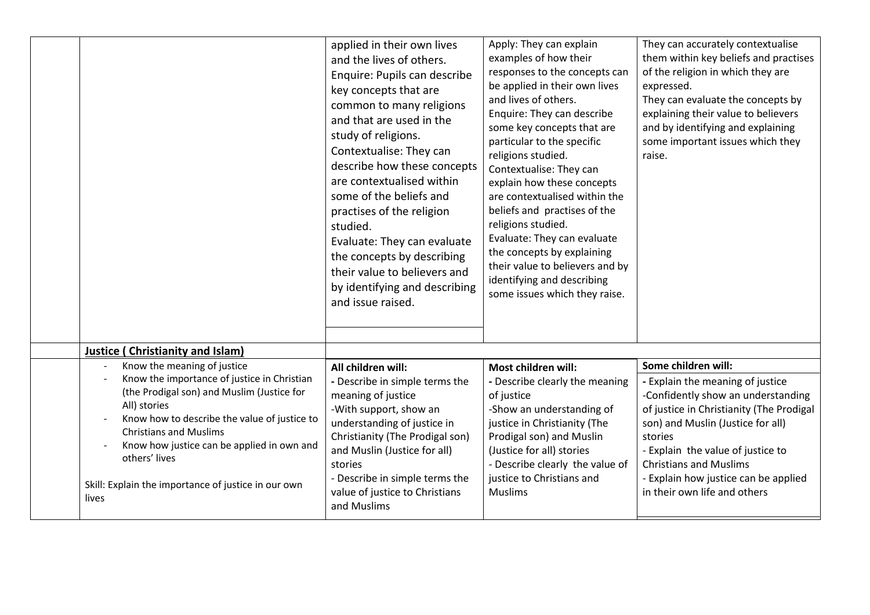|                                                                                                                                                                                                                                                                                                                                                          | applied in their own lives<br>and the lives of others.<br>Enquire: Pupils can describe<br>key concepts that are<br>common to many religions<br>and that are used in the<br>study of religions.<br>Contextualise: They can<br>describe how these concepts<br>are contextualised within<br>some of the beliefs and<br>practises of the religion<br>studied.<br>Evaluate: They can evaluate<br>the concepts by describing<br>their value to believers and<br>by identifying and describing<br>and issue raised. | Apply: They can explain<br>examples of how their<br>responses to the concepts can<br>be applied in their own lives<br>and lives of others.<br>Enquire: They can describe<br>some key concepts that are<br>particular to the specific<br>religions studied.<br>Contextualise: They can<br>explain how these concepts<br>are contextualised within the<br>beliefs and practises of the<br>religions studied.<br>Evaluate: They can evaluate<br>the concepts by explaining<br>their value to believers and by<br>identifying and describing<br>some issues which they raise. | They can accurately contextualise<br>them within key beliefs and practises<br>of the religion in which they are<br>expressed.<br>They can evaluate the concepts by<br>explaining their value to believers<br>and by identifying and explaining<br>some important issues which they<br>raise.                                            |
|----------------------------------------------------------------------------------------------------------------------------------------------------------------------------------------------------------------------------------------------------------------------------------------------------------------------------------------------------------|--------------------------------------------------------------------------------------------------------------------------------------------------------------------------------------------------------------------------------------------------------------------------------------------------------------------------------------------------------------------------------------------------------------------------------------------------------------------------------------------------------------|---------------------------------------------------------------------------------------------------------------------------------------------------------------------------------------------------------------------------------------------------------------------------------------------------------------------------------------------------------------------------------------------------------------------------------------------------------------------------------------------------------------------------------------------------------------------------|-----------------------------------------------------------------------------------------------------------------------------------------------------------------------------------------------------------------------------------------------------------------------------------------------------------------------------------------|
| <b>Justice (Christianity and Islam)</b>                                                                                                                                                                                                                                                                                                                  |                                                                                                                                                                                                                                                                                                                                                                                                                                                                                                              |                                                                                                                                                                                                                                                                                                                                                                                                                                                                                                                                                                           |                                                                                                                                                                                                                                                                                                                                         |
| Know the meaning of justice<br>Know the importance of justice in Christian<br>(the Prodigal son) and Muslim (Justice for<br>All) stories<br>Know how to describe the value of justice to<br><b>Christians and Muslims</b><br>Know how justice can be applied in own and<br>others' lives<br>Skill: Explain the importance of justice in our own<br>lives | All children will:<br>- Describe in simple terms the<br>meaning of justice<br>-With support, show an<br>understanding of justice in<br>Christianity (The Prodigal son)<br>and Muslin (Justice for all)<br>stories<br>- Describe in simple terms the<br>value of justice to Christians<br>and Muslims                                                                                                                                                                                                         | Most children will:<br>- Describe clearly the meaning<br>of justice<br>-Show an understanding of<br>justice in Christianity (The<br>Prodigal son) and Muslin<br>(Justice for all) stories<br>- Describe clearly the value of<br>justice to Christians and<br><b>Muslims</b>                                                                                                                                                                                                                                                                                               | Some children will:<br>- Explain the meaning of justice<br>-Confidently show an understanding<br>of justice in Christianity (The Prodigal<br>son) and Muslin (Justice for all)<br>stories<br>- Explain the value of justice to<br><b>Christians and Muslims</b><br>- Explain how justice can be applied<br>in their own life and others |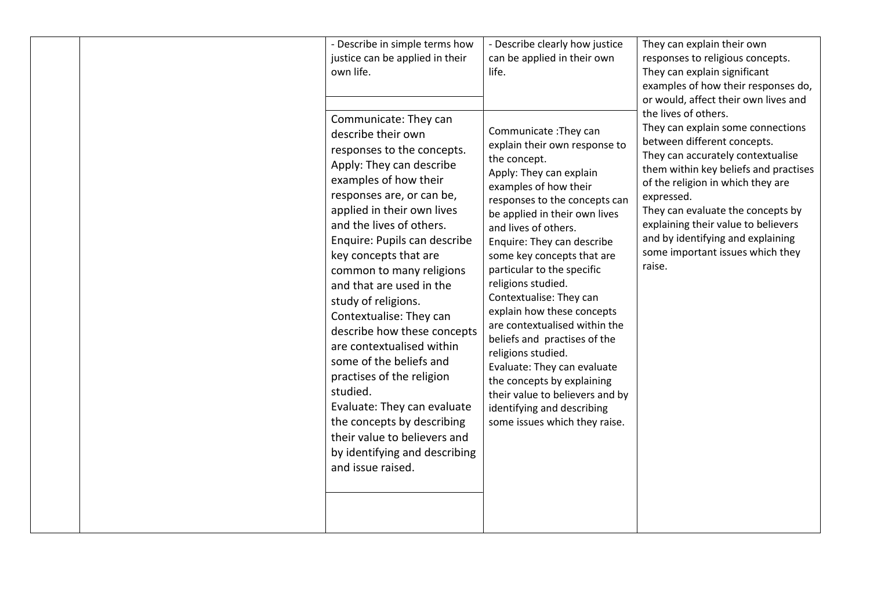| - Describe in simple terms how<br>justice can be applied in their<br>own life.<br>Communicate: They can                                                                                                                                                                                                                                                                                                                                                                                                                                                                                                                                            | - Describe clearly how justice<br>can be applied in their own<br>life.                                                                                                                                                                                                                                                                                                                                                                                                                                                                                                                                                                              | They can explain their own<br>responses to religious concepts.<br>They can explain significant<br>examples of how their responses do,<br>or would, affect their own lives and<br>the lives of others.<br>They can explain some connections                                                                                  |
|----------------------------------------------------------------------------------------------------------------------------------------------------------------------------------------------------------------------------------------------------------------------------------------------------------------------------------------------------------------------------------------------------------------------------------------------------------------------------------------------------------------------------------------------------------------------------------------------------------------------------------------------------|-----------------------------------------------------------------------------------------------------------------------------------------------------------------------------------------------------------------------------------------------------------------------------------------------------------------------------------------------------------------------------------------------------------------------------------------------------------------------------------------------------------------------------------------------------------------------------------------------------------------------------------------------------|-----------------------------------------------------------------------------------------------------------------------------------------------------------------------------------------------------------------------------------------------------------------------------------------------------------------------------|
| describe their own<br>responses to the concepts.<br>Apply: They can describe<br>examples of how their<br>responses are, or can be,<br>applied in their own lives<br>and the lives of others.<br>Enquire: Pupils can describe<br>key concepts that are<br>common to many religions<br>and that are used in the<br>study of religions.<br>Contextualise: They can<br>describe how these concepts<br>are contextualised within<br>some of the beliefs and<br>practises of the religion<br>studied.<br>Evaluate: They can evaluate<br>the concepts by describing<br>their value to believers and<br>by identifying and describing<br>and issue raised. | Communicate: They can<br>explain their own response to<br>the concept.<br>Apply: They can explain<br>examples of how their<br>responses to the concepts can<br>be applied in their own lives<br>and lives of others.<br>Enquire: They can describe<br>some key concepts that are<br>particular to the specific<br>religions studied.<br>Contextualise: They can<br>explain how these concepts<br>are contextualised within the<br>beliefs and practises of the<br>religions studied.<br>Evaluate: They can evaluate<br>the concepts by explaining<br>their value to believers and by<br>identifying and describing<br>some issues which they raise. | between different concepts.<br>They can accurately contextualise<br>them within key beliefs and practises<br>of the religion in which they are<br>expressed.<br>They can evaluate the concepts by<br>explaining their value to believers<br>and by identifying and explaining<br>some important issues which they<br>raise. |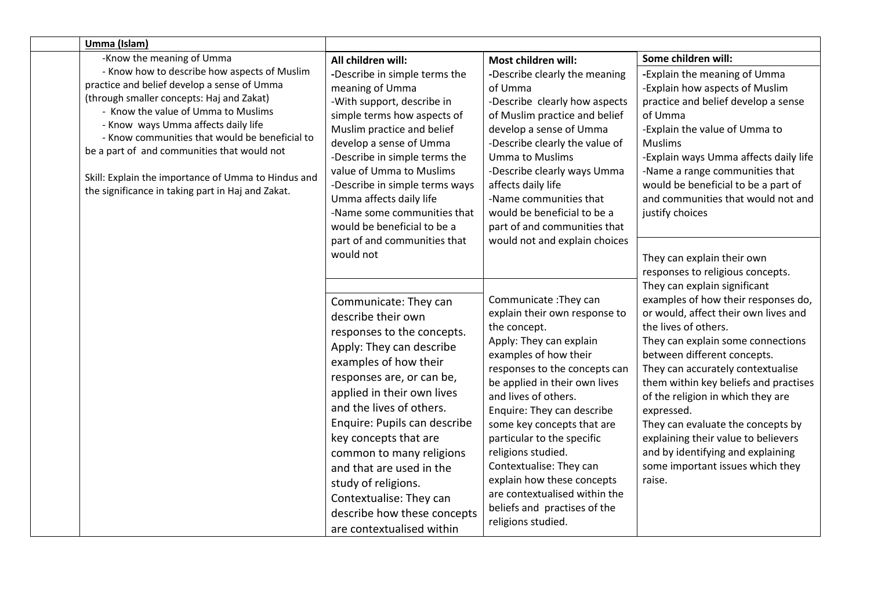| Umma (Islam)                                                                                                                                                                                                                                                                                                                                                                                                                        |                                                                                                                                                                                                                                                                                                                                                                                                |                                                                                                                                                                                                                                                                                                                                                                                  |                                                                                                                                                                                                                                                                                                                                                |
|-------------------------------------------------------------------------------------------------------------------------------------------------------------------------------------------------------------------------------------------------------------------------------------------------------------------------------------------------------------------------------------------------------------------------------------|------------------------------------------------------------------------------------------------------------------------------------------------------------------------------------------------------------------------------------------------------------------------------------------------------------------------------------------------------------------------------------------------|----------------------------------------------------------------------------------------------------------------------------------------------------------------------------------------------------------------------------------------------------------------------------------------------------------------------------------------------------------------------------------|------------------------------------------------------------------------------------------------------------------------------------------------------------------------------------------------------------------------------------------------------------------------------------------------------------------------------------------------|
| -Know the meaning of Umma                                                                                                                                                                                                                                                                                                                                                                                                           | All children will:                                                                                                                                                                                                                                                                                                                                                                             | Most children will:                                                                                                                                                                                                                                                                                                                                                              | Some children will:                                                                                                                                                                                                                                                                                                                            |
| - Know how to describe how aspects of Muslim<br>practice and belief develop a sense of Umma<br>(through smaller concepts: Haj and Zakat)<br>- Know the value of Umma to Muslims<br>- Know ways Umma affects daily life<br>- Know communities that would be beneficial to<br>be a part of and communities that would not<br>Skill: Explain the importance of Umma to Hindus and<br>the significance in taking part in Haj and Zakat. | -Describe in simple terms the<br>meaning of Umma<br>-With support, describe in<br>simple terms how aspects of<br>Muslim practice and belief<br>develop a sense of Umma<br>-Describe in simple terms the<br>value of Umma to Muslims<br>-Describe in simple terms ways<br>Umma affects daily life<br>-Name some communities that<br>would be beneficial to be a<br>part of and communities that | -Describe clearly the meaning<br>of Umma<br>-Describe clearly how aspects<br>of Muslim practice and belief<br>develop a sense of Umma<br>-Describe clearly the value of<br><b>Umma to Muslims</b><br>-Describe clearly ways Umma<br>affects daily life<br>-Name communities that<br>would be beneficial to be a<br>part of and communities that<br>would not and explain choices | -Explain the meaning of Umma<br>-Explain how aspects of Muslim<br>practice and belief develop a sense<br>of Umma<br>-Explain the value of Umma to<br><b>Muslims</b><br>-Explain ways Umma affects daily life<br>-Name a range communities that<br>would be beneficial to be a part of<br>and communities that would not and<br>justify choices |
|                                                                                                                                                                                                                                                                                                                                                                                                                                     | would not<br>Communicate: They can<br>describe their own<br>responses to the concepts.<br>Apply: They can describe<br>examples of how their                                                                                                                                                                                                                                                    | Communicate: They can<br>explain their own response to<br>the concept.<br>Apply: They can explain<br>examples of how their<br>responses to the concepts can                                                                                                                                                                                                                      | They can explain their own<br>responses to religious concepts.<br>They can explain significant<br>examples of how their responses do,<br>or would, affect their own lives and<br>the lives of others.<br>They can explain some connections<br>between different concepts.<br>They can accurately contextualise                                 |
|                                                                                                                                                                                                                                                                                                                                                                                                                                     | responses are, or can be,<br>applied in their own lives<br>and the lives of others.<br>Enquire: Pupils can describe<br>key concepts that are<br>common to many religions<br>and that are used in the<br>study of religions.<br>Contextualise: They can<br>describe how these concepts<br>are contextualised within                                                                             | be applied in their own lives<br>and lives of others.<br>Enquire: They can describe<br>some key concepts that are<br>particular to the specific<br>religions studied.<br>Contextualise: They can<br>explain how these concepts<br>are contextualised within the<br>beliefs and practises of the<br>religions studied.                                                            | them within key beliefs and practises<br>of the religion in which they are<br>expressed.<br>They can evaluate the concepts by<br>explaining their value to believers<br>and by identifying and explaining<br>some important issues which they<br>raise.                                                                                        |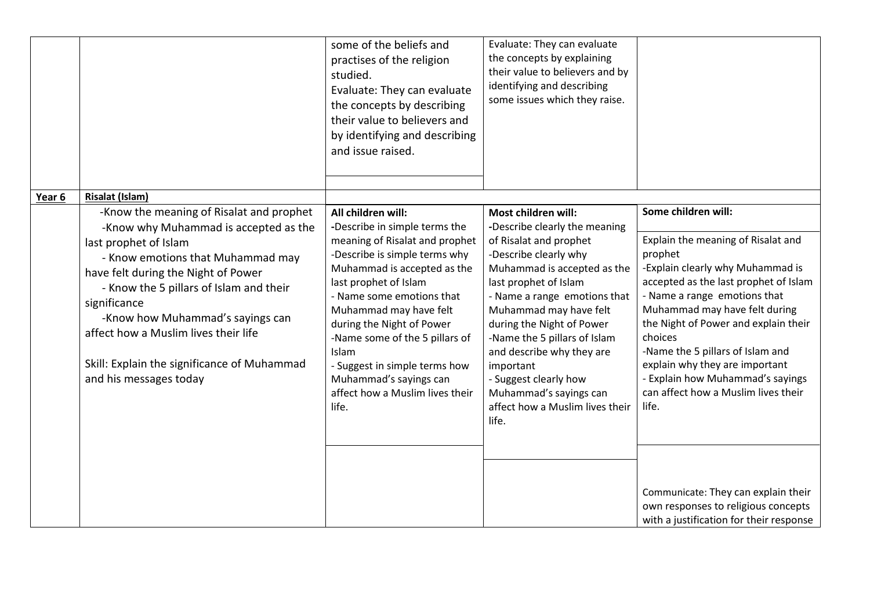|        |                                                                                                                                                                                                                                                                                                                                                                                                        | some of the beliefs and<br>practises of the religion<br>studied.<br>Evaluate: They can evaluate<br>the concepts by describing<br>their value to believers and<br>by identifying and describing<br>and issue raised.                                                                                                                                                                                                  | Evaluate: They can evaluate<br>the concepts by explaining<br>their value to believers and by<br>identifying and describing<br>some issues which they raise.                                                                                                                                                                                                                                                                     |                                                                                                                                                                                                                                                                                                                                                                                                                                 |
|--------|--------------------------------------------------------------------------------------------------------------------------------------------------------------------------------------------------------------------------------------------------------------------------------------------------------------------------------------------------------------------------------------------------------|----------------------------------------------------------------------------------------------------------------------------------------------------------------------------------------------------------------------------------------------------------------------------------------------------------------------------------------------------------------------------------------------------------------------|---------------------------------------------------------------------------------------------------------------------------------------------------------------------------------------------------------------------------------------------------------------------------------------------------------------------------------------------------------------------------------------------------------------------------------|---------------------------------------------------------------------------------------------------------------------------------------------------------------------------------------------------------------------------------------------------------------------------------------------------------------------------------------------------------------------------------------------------------------------------------|
| Year 6 | <b>Risalat (Islam)</b>                                                                                                                                                                                                                                                                                                                                                                                 |                                                                                                                                                                                                                                                                                                                                                                                                                      |                                                                                                                                                                                                                                                                                                                                                                                                                                 |                                                                                                                                                                                                                                                                                                                                                                                                                                 |
|        | -Know the meaning of Risalat and prophet<br>-Know why Muhammad is accepted as the<br>last prophet of Islam<br>- Know emotions that Muhammad may<br>have felt during the Night of Power<br>- Know the 5 pillars of Islam and their<br>significance<br>-Know how Muhammad's sayings can<br>affect how a Muslim lives their life<br>Skill: Explain the significance of Muhammad<br>and his messages today | All children will:<br>-Describe in simple terms the<br>meaning of Risalat and prophet<br>-Describe is simple terms why<br>Muhammad is accepted as the<br>last prophet of Islam<br>- Name some emotions that<br>Muhammad may have felt<br>during the Night of Power<br>-Name some of the 5 pillars of<br>Islam<br>- Suggest in simple terms how<br>Muhammad's sayings can<br>affect how a Muslim lives their<br>life. | Most children will:<br>-Describe clearly the meaning<br>of Risalat and prophet<br>-Describe clearly why<br>Muhammad is accepted as the<br>last prophet of Islam<br>- Name a range emotions that<br>Muhammad may have felt<br>during the Night of Power<br>-Name the 5 pillars of Islam<br>and describe why they are<br>important<br>- Suggest clearly how<br>Muhammad's sayings can<br>affect how a Muslim lives their<br>life. | Some children will:<br>Explain the meaning of Risalat and<br>prophet<br>-Explain clearly why Muhammad is<br>accepted as the last prophet of Islam<br>- Name a range emotions that<br>Muhammad may have felt during<br>the Night of Power and explain their<br>choices<br>-Name the 5 pillars of Islam and<br>explain why they are important<br>- Explain how Muhammad's sayings<br>can affect how a Muslim lives their<br>life. |
|        |                                                                                                                                                                                                                                                                                                                                                                                                        |                                                                                                                                                                                                                                                                                                                                                                                                                      |                                                                                                                                                                                                                                                                                                                                                                                                                                 | Communicate: They can explain their<br>own responses to religious concepts<br>with a justification for their response                                                                                                                                                                                                                                                                                                           |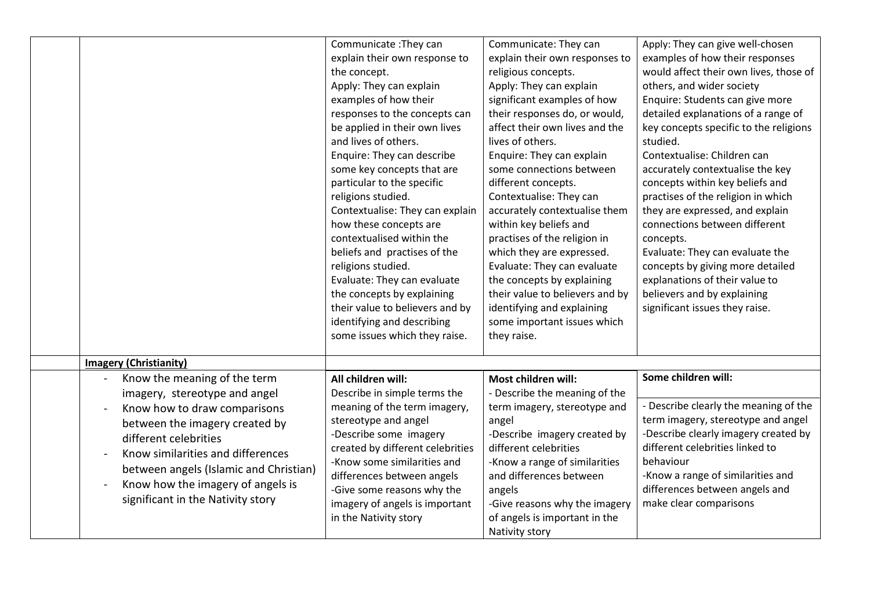|                                                                                                                                                                                                                                                                                                                   | Communicate : They can<br>explain their own response to<br>the concept.<br>Apply: They can explain<br>examples of how their<br>responses to the concepts can<br>be applied in their own lives<br>and lives of others.<br>Enquire: They can describe<br>some key concepts that are<br>particular to the specific<br>religions studied.<br>Contextualise: They can explain<br>how these concepts are<br>contextualised within the<br>beliefs and practises of the<br>religions studied.<br>Evaluate: They can evaluate<br>the concepts by explaining<br>their value to believers and by<br>identifying and describing<br>some issues which they raise. | Communicate: They can<br>explain their own responses to<br>religious concepts.<br>Apply: They can explain<br>significant examples of how<br>their responses do, or would,<br>affect their own lives and the<br>lives of others.<br>Enquire: They can explain<br>some connections between<br>different concepts.<br>Contextualise: They can<br>accurately contextualise them<br>within key beliefs and<br>practises of the religion in<br>which they are expressed.<br>Evaluate: They can evaluate<br>the concepts by explaining<br>their value to believers and by<br>identifying and explaining<br>some important issues which<br>they raise. | Apply: They can give well-chosen<br>examples of how their responses<br>would affect their own lives, those of<br>others, and wider society<br>Enquire: Students can give more<br>detailed explanations of a range of<br>key concepts specific to the religions<br>studied.<br>Contextualise: Children can<br>accurately contextualise the key<br>concepts within key beliefs and<br>practises of the religion in which<br>they are expressed, and explain<br>connections between different<br>concepts.<br>Evaluate: They can evaluate the<br>concepts by giving more detailed<br>explanations of their value to<br>believers and by explaining<br>significant issues they raise. |
|-------------------------------------------------------------------------------------------------------------------------------------------------------------------------------------------------------------------------------------------------------------------------------------------------------------------|------------------------------------------------------------------------------------------------------------------------------------------------------------------------------------------------------------------------------------------------------------------------------------------------------------------------------------------------------------------------------------------------------------------------------------------------------------------------------------------------------------------------------------------------------------------------------------------------------------------------------------------------------|------------------------------------------------------------------------------------------------------------------------------------------------------------------------------------------------------------------------------------------------------------------------------------------------------------------------------------------------------------------------------------------------------------------------------------------------------------------------------------------------------------------------------------------------------------------------------------------------------------------------------------------------|-----------------------------------------------------------------------------------------------------------------------------------------------------------------------------------------------------------------------------------------------------------------------------------------------------------------------------------------------------------------------------------------------------------------------------------------------------------------------------------------------------------------------------------------------------------------------------------------------------------------------------------------------------------------------------------|
| <b>Imagery (Christianity)</b>                                                                                                                                                                                                                                                                                     |                                                                                                                                                                                                                                                                                                                                                                                                                                                                                                                                                                                                                                                      |                                                                                                                                                                                                                                                                                                                                                                                                                                                                                                                                                                                                                                                |                                                                                                                                                                                                                                                                                                                                                                                                                                                                                                                                                                                                                                                                                   |
| Know the meaning of the term<br>imagery, stereotype and angel<br>Know how to draw comparisons<br>between the imagery created by<br>different celebrities<br>Know similarities and differences<br>between angels (Islamic and Christian)<br>Know how the imagery of angels is<br>significant in the Nativity story | All children will:<br>Describe in simple terms the<br>meaning of the term imagery,<br>stereotype and angel<br>-Describe some imagery<br>created by different celebrities<br>-Know some similarities and<br>differences between angels<br>-Give some reasons why the<br>imagery of angels is important<br>in the Nativity story                                                                                                                                                                                                                                                                                                                       | Most children will:<br>- Describe the meaning of the<br>term imagery, stereotype and<br>angel<br>-Describe imagery created by<br>different celebrities<br>-Know a range of similarities<br>and differences between<br>angels<br>-Give reasons why the imagery<br>of angels is important in the<br>Nativity story                                                                                                                                                                                                                                                                                                                               | Some children will:<br>- Describe clearly the meaning of the<br>term imagery, stereotype and angel<br>-Describe clearly imagery created by<br>different celebrities linked to<br>behaviour<br>-Know a range of similarities and<br>differences between angels and<br>make clear comparisons                                                                                                                                                                                                                                                                                                                                                                                       |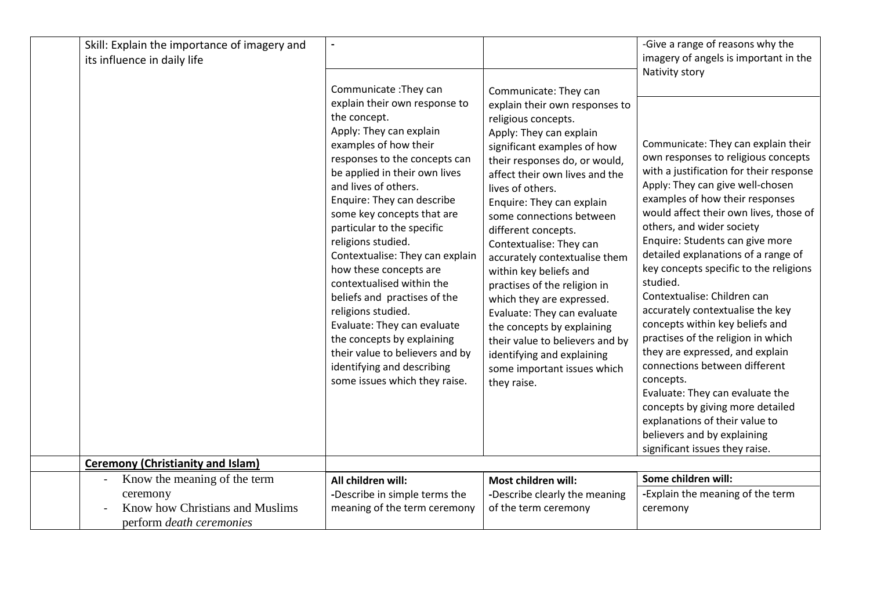| Skill: Explain the importance of imagery and<br>its influence in daily life                                                     |                                                                                                                                                                                                                                                                                                                                                                                                                                                                                                                                                                                                                                                     |                                                                                                                                                                                                                                                                                                                                                                                                                                                                                                                                                                                                                                                | -Give a range of reasons why the<br>imagery of angels is important in the<br>Nativity story                                                                                                                                                                                                                                                                                                                                                                                                                                                                                                                                                                                                                                                                                                                |
|---------------------------------------------------------------------------------------------------------------------------------|-----------------------------------------------------------------------------------------------------------------------------------------------------------------------------------------------------------------------------------------------------------------------------------------------------------------------------------------------------------------------------------------------------------------------------------------------------------------------------------------------------------------------------------------------------------------------------------------------------------------------------------------------------|------------------------------------------------------------------------------------------------------------------------------------------------------------------------------------------------------------------------------------------------------------------------------------------------------------------------------------------------------------------------------------------------------------------------------------------------------------------------------------------------------------------------------------------------------------------------------------------------------------------------------------------------|------------------------------------------------------------------------------------------------------------------------------------------------------------------------------------------------------------------------------------------------------------------------------------------------------------------------------------------------------------------------------------------------------------------------------------------------------------------------------------------------------------------------------------------------------------------------------------------------------------------------------------------------------------------------------------------------------------------------------------------------------------------------------------------------------------|
|                                                                                                                                 | Communicate: They can<br>explain their own response to<br>the concept.<br>Apply: They can explain<br>examples of how their<br>responses to the concepts can<br>be applied in their own lives<br>and lives of others.<br>Enquire: They can describe<br>some key concepts that are<br>particular to the specific<br>religions studied.<br>Contextualise: They can explain<br>how these concepts are<br>contextualised within the<br>beliefs and practises of the<br>religions studied.<br>Evaluate: They can evaluate<br>the concepts by explaining<br>their value to believers and by<br>identifying and describing<br>some issues which they raise. | Communicate: They can<br>explain their own responses to<br>religious concepts.<br>Apply: They can explain<br>significant examples of how<br>their responses do, or would,<br>affect their own lives and the<br>lives of others.<br>Enquire: They can explain<br>some connections between<br>different concepts.<br>Contextualise: They can<br>accurately contextualise them<br>within key beliefs and<br>practises of the religion in<br>which they are expressed.<br>Evaluate: They can evaluate<br>the concepts by explaining<br>their value to believers and by<br>identifying and explaining<br>some important issues which<br>they raise. | Communicate: They can explain their<br>own responses to religious concepts<br>with a justification for their response<br>Apply: They can give well-chosen<br>examples of how their responses<br>would affect their own lives, those of<br>others, and wider society<br>Enquire: Students can give more<br>detailed explanations of a range of<br>key concepts specific to the religions<br>studied.<br>Contextualise: Children can<br>accurately contextualise the key<br>concepts within key beliefs and<br>practises of the religion in which<br>they are expressed, and explain<br>connections between different<br>concepts.<br>Evaluate: They can evaluate the<br>concepts by giving more detailed<br>explanations of their value to<br>believers and by explaining<br>significant issues they raise. |
| <b>Ceremony (Christianity and Islam)</b>                                                                                        |                                                                                                                                                                                                                                                                                                                                                                                                                                                                                                                                                                                                                                                     |                                                                                                                                                                                                                                                                                                                                                                                                                                                                                                                                                                                                                                                |                                                                                                                                                                                                                                                                                                                                                                                                                                                                                                                                                                                                                                                                                                                                                                                                            |
| Know the meaning of the term<br>$\frac{1}{2}$<br>ceremony<br>Know how Christians and Muslims<br>perform <i>death</i> ceremonies | All children will:<br>-Describe in simple terms the<br>meaning of the term ceremony                                                                                                                                                                                                                                                                                                                                                                                                                                                                                                                                                                 | Most children will:<br>-Describe clearly the meaning<br>of the term ceremony                                                                                                                                                                                                                                                                                                                                                                                                                                                                                                                                                                   | Some children will:<br>-Explain the meaning of the term<br>ceremony                                                                                                                                                                                                                                                                                                                                                                                                                                                                                                                                                                                                                                                                                                                                        |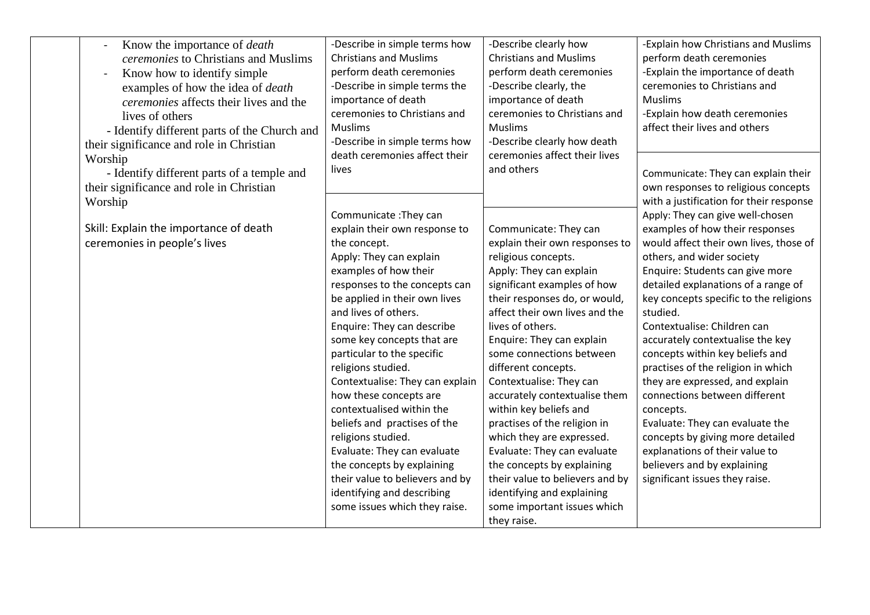| Know the importance of <i>death</i><br>$\blacksquare$<br>ceremonies to Christians and Muslims<br>Know how to identify simple<br>examples of how the idea of <i>death</i><br><i>ceremonies</i> affects their lives and the<br>lives of others<br>- Identify different parts of the Church and<br>their significance and role in Christian | -Describe in simple terms how<br><b>Christians and Muslims</b><br>perform death ceremonies<br>-Describe in simple terms the<br>importance of death<br>ceremonies to Christians and<br><b>Muslims</b><br>-Describe in simple terms how | -Describe clearly how<br><b>Christians and Muslims</b><br>perform death ceremonies<br>-Describe clearly, the<br>importance of death<br>ceremonies to Christians and<br><b>Muslims</b><br>-Describe clearly how death | -Explain how Christians and Muslims<br>perform death ceremonies<br>-Explain the importance of death<br>ceremonies to Christians and<br><b>Muslims</b><br>-Explain how death ceremonies<br>affect their lives and others |
|------------------------------------------------------------------------------------------------------------------------------------------------------------------------------------------------------------------------------------------------------------------------------------------------------------------------------------------|---------------------------------------------------------------------------------------------------------------------------------------------------------------------------------------------------------------------------------------|----------------------------------------------------------------------------------------------------------------------------------------------------------------------------------------------------------------------|-------------------------------------------------------------------------------------------------------------------------------------------------------------------------------------------------------------------------|
| Worship<br>- Identify different parts of a temple and<br>their significance and role in Christian                                                                                                                                                                                                                                        | death ceremonies affect their<br>lives                                                                                                                                                                                                | ceremonies affect their lives<br>and others                                                                                                                                                                          | Communicate: They can explain their<br>own responses to religious concepts                                                                                                                                              |
| Worship                                                                                                                                                                                                                                                                                                                                  | Communicate: They can                                                                                                                                                                                                                 |                                                                                                                                                                                                                      | with a justification for their response<br>Apply: They can give well-chosen                                                                                                                                             |
| Skill: Explain the importance of death<br>ceremonies in people's lives                                                                                                                                                                                                                                                                   | explain their own response to<br>the concept.<br>Apply: They can explain                                                                                                                                                              | Communicate: They can<br>explain their own responses to<br>religious concepts.                                                                                                                                       | examples of how their responses<br>would affect their own lives, those of<br>others, and wider society                                                                                                                  |
|                                                                                                                                                                                                                                                                                                                                          | examples of how their<br>responses to the concepts can                                                                                                                                                                                | Apply: They can explain<br>significant examples of how                                                                                                                                                               | Enquire: Students can give more<br>detailed explanations of a range of                                                                                                                                                  |
|                                                                                                                                                                                                                                                                                                                                          | be applied in their own lives<br>and lives of others.                                                                                                                                                                                 | their responses do, or would,<br>affect their own lives and the                                                                                                                                                      | key concepts specific to the religions<br>studied.                                                                                                                                                                      |
|                                                                                                                                                                                                                                                                                                                                          | Enquire: They can describe<br>some key concepts that are<br>particular to the specific                                                                                                                                                | lives of others.<br>Enquire: They can explain<br>some connections between                                                                                                                                            | Contextualise: Children can<br>accurately contextualise the key<br>concepts within key beliefs and                                                                                                                      |
|                                                                                                                                                                                                                                                                                                                                          | religions studied.<br>Contextualise: They can explain                                                                                                                                                                                 | different concepts.<br>Contextualise: They can                                                                                                                                                                       | practises of the religion in which<br>they are expressed, and explain                                                                                                                                                   |
|                                                                                                                                                                                                                                                                                                                                          | how these concepts are<br>contextualised within the                                                                                                                                                                                   | accurately contextualise them<br>within key beliefs and                                                                                                                                                              | connections between different<br>concepts.                                                                                                                                                                              |
|                                                                                                                                                                                                                                                                                                                                          | beliefs and practises of the<br>religions studied.                                                                                                                                                                                    | practises of the religion in<br>which they are expressed.                                                                                                                                                            | Evaluate: They can evaluate the<br>concepts by giving more detailed                                                                                                                                                     |
|                                                                                                                                                                                                                                                                                                                                          | Evaluate: They can evaluate<br>the concepts by explaining                                                                                                                                                                             | Evaluate: They can evaluate<br>the concepts by explaining                                                                                                                                                            | explanations of their value to<br>believers and by explaining                                                                                                                                                           |
|                                                                                                                                                                                                                                                                                                                                          | their value to believers and by<br>identifying and describing<br>some issues which they raise.                                                                                                                                        | their value to believers and by<br>identifying and explaining<br>some important issues which                                                                                                                         | significant issues they raise.                                                                                                                                                                                          |
|                                                                                                                                                                                                                                                                                                                                          |                                                                                                                                                                                                                                       | they raise.                                                                                                                                                                                                          |                                                                                                                                                                                                                         |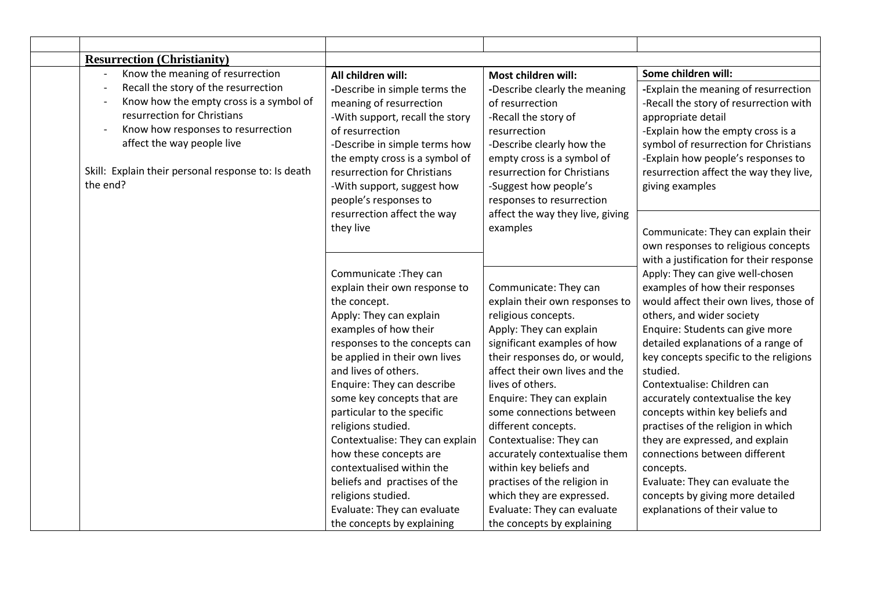| <b>Resurrection (Christianity)</b>                                                                                                                                                                                                                    |                                                                                                                                                                                                                                                                         |                                                                                                                                                                                                                                          |                                                                                                                                                                                                                                                                                       |
|-------------------------------------------------------------------------------------------------------------------------------------------------------------------------------------------------------------------------------------------------------|-------------------------------------------------------------------------------------------------------------------------------------------------------------------------------------------------------------------------------------------------------------------------|------------------------------------------------------------------------------------------------------------------------------------------------------------------------------------------------------------------------------------------|---------------------------------------------------------------------------------------------------------------------------------------------------------------------------------------------------------------------------------------------------------------------------------------|
| Know the meaning of resurrection                                                                                                                                                                                                                      | All children will:                                                                                                                                                                                                                                                      | Most children will:                                                                                                                                                                                                                      | Some children will:                                                                                                                                                                                                                                                                   |
| Recall the story of the resurrection<br>Know how the empty cross is a symbol of<br>resurrection for Christians<br>Know how responses to resurrection<br>affect the way people live<br>Skill: Explain their personal response to: Is death<br>the end? | -Describe in simple terms the<br>meaning of resurrection<br>-With support, recall the story<br>of resurrection<br>-Describe in simple terms how<br>the empty cross is a symbol of<br>resurrection for Christians<br>-With support, suggest how<br>people's responses to | -Describe clearly the meaning<br>of resurrection<br>-Recall the story of<br>resurrection<br>-Describe clearly how the<br>empty cross is a symbol of<br>resurrection for Christians<br>-Suggest how people's<br>responses to resurrection | -Explain the meaning of resurrection<br>-Recall the story of resurrection with<br>appropriate detail<br>-Explain how the empty cross is a<br>symbol of resurrection for Christians<br>-Explain how people's responses to<br>resurrection affect the way they live,<br>giving examples |
|                                                                                                                                                                                                                                                       | resurrection affect the way                                                                                                                                                                                                                                             | affect the way they live, giving                                                                                                                                                                                                         |                                                                                                                                                                                                                                                                                       |
|                                                                                                                                                                                                                                                       | they live                                                                                                                                                                                                                                                               | examples                                                                                                                                                                                                                                 | Communicate: They can explain their<br>own responses to religious concepts<br>with a justification for their response                                                                                                                                                                 |
|                                                                                                                                                                                                                                                       | Communicate: They can                                                                                                                                                                                                                                                   |                                                                                                                                                                                                                                          | Apply: They can give well-chosen                                                                                                                                                                                                                                                      |
|                                                                                                                                                                                                                                                       | explain their own response to                                                                                                                                                                                                                                           | Communicate: They can                                                                                                                                                                                                                    | examples of how their responses                                                                                                                                                                                                                                                       |
|                                                                                                                                                                                                                                                       | the concept.                                                                                                                                                                                                                                                            | explain their own responses to                                                                                                                                                                                                           | would affect their own lives, those of                                                                                                                                                                                                                                                |
|                                                                                                                                                                                                                                                       | Apply: They can explain                                                                                                                                                                                                                                                 | religious concepts.                                                                                                                                                                                                                      | others, and wider society                                                                                                                                                                                                                                                             |
|                                                                                                                                                                                                                                                       | examples of how their                                                                                                                                                                                                                                                   | Apply: They can explain                                                                                                                                                                                                                  | Enquire: Students can give more                                                                                                                                                                                                                                                       |
|                                                                                                                                                                                                                                                       | responses to the concepts can                                                                                                                                                                                                                                           | significant examples of how                                                                                                                                                                                                              | detailed explanations of a range of                                                                                                                                                                                                                                                   |
|                                                                                                                                                                                                                                                       | be applied in their own lives                                                                                                                                                                                                                                           | their responses do, or would,                                                                                                                                                                                                            | key concepts specific to the religions                                                                                                                                                                                                                                                |
|                                                                                                                                                                                                                                                       | and lives of others.                                                                                                                                                                                                                                                    | affect their own lives and the                                                                                                                                                                                                           | studied.                                                                                                                                                                                                                                                                              |
|                                                                                                                                                                                                                                                       | Enquire: They can describe                                                                                                                                                                                                                                              | lives of others.                                                                                                                                                                                                                         | Contextualise: Children can                                                                                                                                                                                                                                                           |
|                                                                                                                                                                                                                                                       | some key concepts that are                                                                                                                                                                                                                                              | Enquire: They can explain                                                                                                                                                                                                                | accurately contextualise the key                                                                                                                                                                                                                                                      |
|                                                                                                                                                                                                                                                       | particular to the specific                                                                                                                                                                                                                                              | some connections between                                                                                                                                                                                                                 | concepts within key beliefs and                                                                                                                                                                                                                                                       |
|                                                                                                                                                                                                                                                       | religions studied.                                                                                                                                                                                                                                                      | different concepts.                                                                                                                                                                                                                      | practises of the religion in which                                                                                                                                                                                                                                                    |
|                                                                                                                                                                                                                                                       | Contextualise: They can explain                                                                                                                                                                                                                                         | Contextualise: They can                                                                                                                                                                                                                  | they are expressed, and explain                                                                                                                                                                                                                                                       |
|                                                                                                                                                                                                                                                       | how these concepts are                                                                                                                                                                                                                                                  | accurately contextualise them                                                                                                                                                                                                            | connections between different                                                                                                                                                                                                                                                         |
|                                                                                                                                                                                                                                                       | contextualised within the                                                                                                                                                                                                                                               | within key beliefs and                                                                                                                                                                                                                   | concepts.                                                                                                                                                                                                                                                                             |
|                                                                                                                                                                                                                                                       | beliefs and practises of the                                                                                                                                                                                                                                            | practises of the religion in                                                                                                                                                                                                             | Evaluate: They can evaluate the                                                                                                                                                                                                                                                       |
|                                                                                                                                                                                                                                                       | religions studied.                                                                                                                                                                                                                                                      | which they are expressed.                                                                                                                                                                                                                | concepts by giving more detailed                                                                                                                                                                                                                                                      |
|                                                                                                                                                                                                                                                       | Evaluate: They can evaluate                                                                                                                                                                                                                                             | Evaluate: They can evaluate                                                                                                                                                                                                              | explanations of their value to                                                                                                                                                                                                                                                        |
|                                                                                                                                                                                                                                                       | the concepts by explaining                                                                                                                                                                                                                                              | the concepts by explaining                                                                                                                                                                                                               |                                                                                                                                                                                                                                                                                       |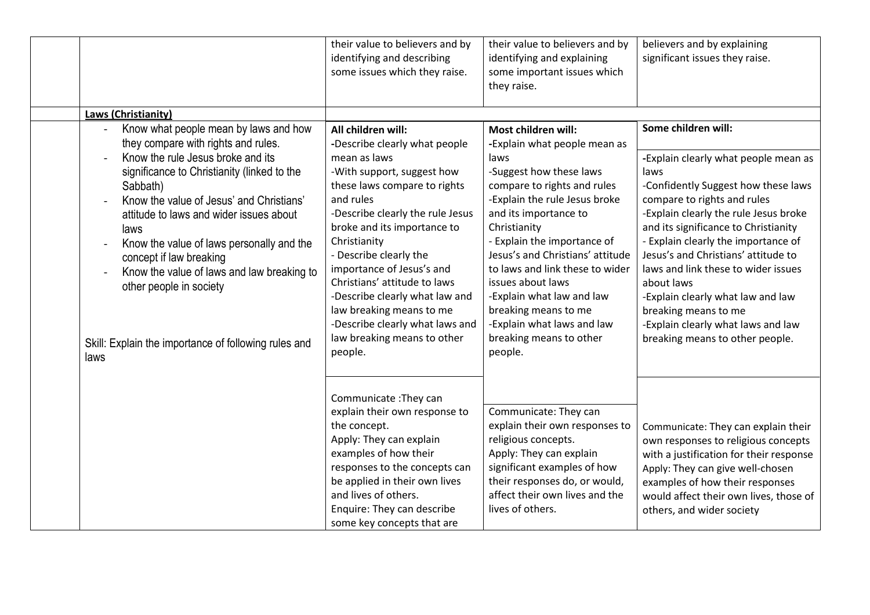|                                                                                                                                                                                                                                                                                                                                                                                                                                                                                              | their value to believers and by<br>identifying and describing<br>some issues which they raise.                                                                                                                                                                                                                                                                                                                                                                      | their value to believers and by<br>identifying and explaining<br>some important issues which<br>they raise.                                                                                                                                                                                                                                                                                                                                         | believers and by explaining<br>significant issues they raise.                                                                                                                                                                                                                                                                                                                                                                                                                                       |
|----------------------------------------------------------------------------------------------------------------------------------------------------------------------------------------------------------------------------------------------------------------------------------------------------------------------------------------------------------------------------------------------------------------------------------------------------------------------------------------------|---------------------------------------------------------------------------------------------------------------------------------------------------------------------------------------------------------------------------------------------------------------------------------------------------------------------------------------------------------------------------------------------------------------------------------------------------------------------|-----------------------------------------------------------------------------------------------------------------------------------------------------------------------------------------------------------------------------------------------------------------------------------------------------------------------------------------------------------------------------------------------------------------------------------------------------|-----------------------------------------------------------------------------------------------------------------------------------------------------------------------------------------------------------------------------------------------------------------------------------------------------------------------------------------------------------------------------------------------------------------------------------------------------------------------------------------------------|
| <b>Laws (Christianity)</b>                                                                                                                                                                                                                                                                                                                                                                                                                                                                   |                                                                                                                                                                                                                                                                                                                                                                                                                                                                     |                                                                                                                                                                                                                                                                                                                                                                                                                                                     |                                                                                                                                                                                                                                                                                                                                                                                                                                                                                                     |
| Know what people mean by laws and how<br>they compare with rights and rules.<br>Know the rule Jesus broke and its<br>significance to Christianity (linked to the<br>Sabbath)<br>Know the value of Jesus' and Christians'<br>attitude to laws and wider issues about<br>laws<br>Know the value of laws personally and the<br>concept if law breaking<br>Know the value of laws and law breaking to<br>other people in society<br>Skill: Explain the importance of following rules and<br>laws | All children will:<br>-Describe clearly what people<br>mean as laws<br>-With support, suggest how<br>these laws compare to rights<br>and rules<br>-Describe clearly the rule Jesus<br>broke and its importance to<br>Christianity<br>- Describe clearly the<br>importance of Jesus's and<br>Christians' attitude to laws<br>-Describe clearly what law and<br>law breaking means to me<br>-Describe clearly what laws and<br>law breaking means to other<br>people. | Most children will:<br>-Explain what people mean as<br>laws<br>-Suggest how these laws<br>compare to rights and rules<br>-Explain the rule Jesus broke<br>and its importance to<br>Christianity<br>- Explain the importance of<br>Jesus's and Christians' attitude<br>to laws and link these to wider<br>issues about laws<br>-Explain what law and law<br>breaking means to me<br>-Explain what laws and law<br>breaking means to other<br>people. | Some children will:<br>-Explain clearly what people mean as<br>laws<br>-Confidently Suggest how these laws<br>compare to rights and rules<br>-Explain clearly the rule Jesus broke<br>and its significance to Christianity<br>- Explain clearly the importance of<br>Jesus's and Christians' attitude to<br>laws and link these to wider issues<br>about laws<br>-Explain clearly what law and law<br>breaking means to me<br>-Explain clearly what laws and law<br>breaking means to other people. |
|                                                                                                                                                                                                                                                                                                                                                                                                                                                                                              | Communicate: They can<br>explain their own response to<br>the concept.<br>Apply: They can explain<br>examples of how their<br>responses to the concepts can<br>be applied in their own lives<br>and lives of others.<br>Enquire: They can describe<br>some key concepts that are                                                                                                                                                                                    | Communicate: They can<br>explain their own responses to<br>religious concepts.<br>Apply: They can explain<br>significant examples of how<br>their responses do, or would,<br>affect their own lives and the<br>lives of others.                                                                                                                                                                                                                     | Communicate: They can explain their<br>own responses to religious concepts<br>with a justification for their response<br>Apply: They can give well-chosen<br>examples of how their responses<br>would affect their own lives, those of<br>others, and wider society                                                                                                                                                                                                                                 |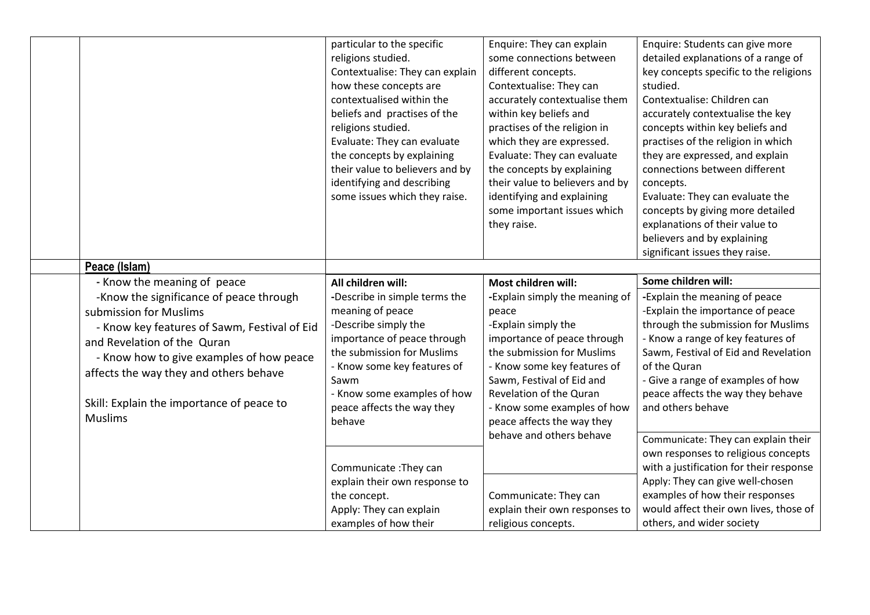|                                                                                                                                                                                                                                                                                                                                      | particular to the specific<br>religions studied.<br>Contextualise: They can explain<br>how these concepts are<br>contextualised within the<br>beliefs and practises of the<br>religions studied.<br>Evaluate: They can evaluate<br>the concepts by explaining<br>their value to believers and by<br>identifying and describing<br>some issues which they raise. | Enquire: They can explain<br>some connections between<br>different concepts.<br>Contextualise: They can<br>accurately contextualise them<br>within key beliefs and<br>practises of the religion in<br>which they are expressed.<br>Evaluate: They can evaluate<br>the concepts by explaining<br>their value to believers and by<br>identifying and explaining<br>some important issues which<br>they raise. | Enquire: Students can give more<br>detailed explanations of a range of<br>key concepts specific to the religions<br>studied.<br>Contextualise: Children can<br>accurately contextualise the key<br>concepts within key beliefs and<br>practises of the religion in which<br>they are expressed, and explain<br>connections between different<br>concepts.<br>Evaluate: They can evaluate the<br>concepts by giving more detailed<br>explanations of their value to<br>believers and by explaining<br>significant issues they raise. |
|--------------------------------------------------------------------------------------------------------------------------------------------------------------------------------------------------------------------------------------------------------------------------------------------------------------------------------------|-----------------------------------------------------------------------------------------------------------------------------------------------------------------------------------------------------------------------------------------------------------------------------------------------------------------------------------------------------------------|-------------------------------------------------------------------------------------------------------------------------------------------------------------------------------------------------------------------------------------------------------------------------------------------------------------------------------------------------------------------------------------------------------------|-------------------------------------------------------------------------------------------------------------------------------------------------------------------------------------------------------------------------------------------------------------------------------------------------------------------------------------------------------------------------------------------------------------------------------------------------------------------------------------------------------------------------------------|
| Peace (Islam)                                                                                                                                                                                                                                                                                                                        |                                                                                                                                                                                                                                                                                                                                                                 |                                                                                                                                                                                                                                                                                                                                                                                                             | Some children will:                                                                                                                                                                                                                                                                                                                                                                                                                                                                                                                 |
| - Know the meaning of peace<br>-Know the significance of peace through<br>submission for Muslims<br>- Know key features of Sawm, Festival of Eid<br>and Revelation of the Quran<br>- Know how to give examples of how peace<br>affects the way they and others behave<br>Skill: Explain the importance of peace to<br><b>Muslims</b> | All children will:<br>-Describe in simple terms the<br>meaning of peace<br>-Describe simply the<br>importance of peace through<br>the submission for Muslims<br>- Know some key features of<br>Sawm<br>- Know some examples of how<br>peace affects the way they<br>behave                                                                                      | Most children will:<br>-Explain simply the meaning of<br>peace<br>-Explain simply the<br>importance of peace through<br>the submission for Muslims<br>- Know some key features of<br>Sawm, Festival of Eid and<br>Revelation of the Quran<br>- Know some examples of how<br>peace affects the way they<br>behave and others behave                                                                          | -Explain the meaning of peace<br>-Explain the importance of peace<br>through the submission for Muslims<br>- Know a range of key features of<br>Sawm, Festival of Eid and Revelation<br>of the Quran<br>- Give a range of examples of how<br>peace affects the way they behave<br>and others behave<br>Communicate: They can explain their                                                                                                                                                                                          |
|                                                                                                                                                                                                                                                                                                                                      | Communicate: They can<br>explain their own response to<br>the concept.<br>Apply: They can explain<br>examples of how their                                                                                                                                                                                                                                      | Communicate: They can<br>explain their own responses to<br>religious concepts.                                                                                                                                                                                                                                                                                                                              | own responses to religious concepts<br>with a justification for their response<br>Apply: They can give well-chosen<br>examples of how their responses<br>would affect their own lives, those of<br>others, and wider society                                                                                                                                                                                                                                                                                                        |